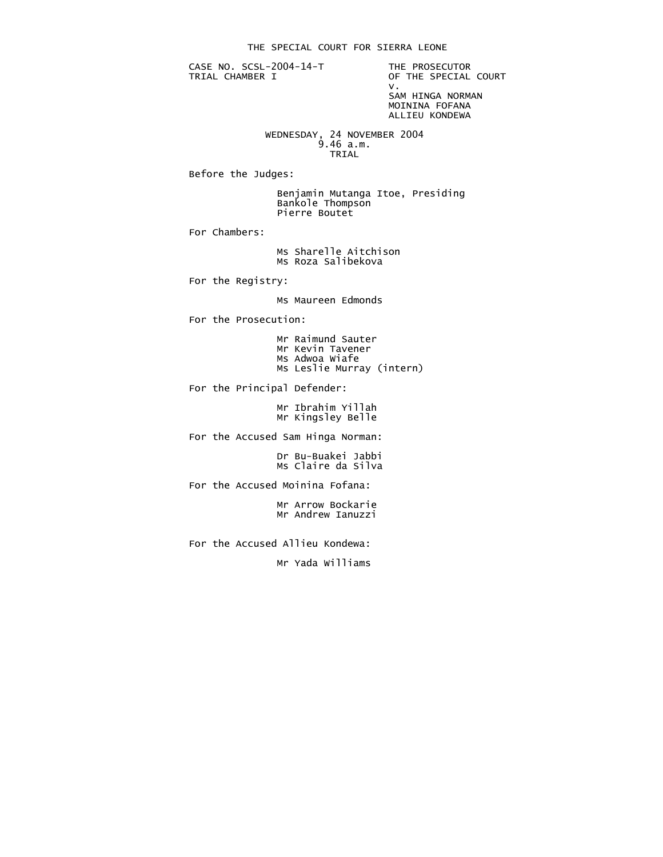CASE NO. SCSL-2004-14-T THE PROSECUTOR<br>TRIAL CHAMBER I OF THE SPECIAL

OF THE SPECIAL COURT<br>V. v. SAM HINGA NORMAN MOININA FOFANA ALLIEU KONDEWA

 WEDNESDAY, 24 NOVEMBER 2004 9.46 a.m. TRIAL

Before the Judges:

 Benjamin Mutanga Itoe, Presiding Bankole Thompson Pierre Boutet

For Chambers:

 Ms Sharelle Aitchison Ms Roza Salibekova

For the Registry:

Ms Maureen Edmonds

For the Prosecution:

|  | Mr Raimund Sauter         |  |
|--|---------------------------|--|
|  | Mr Kevin Tavener          |  |
|  | Ms Adwoa Wiafe            |  |
|  | Ms Leslie Murray (intern) |  |
|  |                           |  |

For the Principal Defender:

 Mr Ibrahim Yillah Mr Kingsley Belle

For the Accused Sam Hinga Norman:

 Dr Bu-Buakei Jabbi Ms Claire da Silva

For the Accused Moinina Fofana:

 Mr Arrow Bockarie Mr Andrew Ianuzzi

For the Accused Allieu Kondewa:

Mr Yada Williams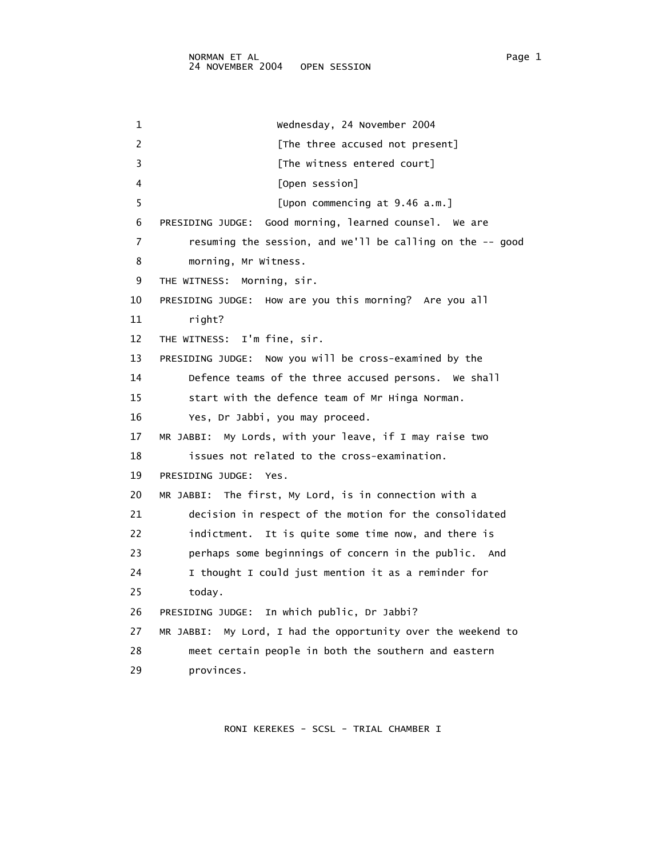1 Wednesday, 24 November 2004 2 **Example 2** [The three accused not present] 3 [The witness entered court] 4 [Open session] 5 [Upon commencing at 9.46 a.m.] 6 PRESIDING JUDGE: Good morning, learned counsel. We are 7 resuming the session, and we'll be calling on the -- good 8 morning, Mr Witness. 9 THE WITNESS: Morning, sir. 10 PRESIDING JUDGE: How are you this morning? Are you all 11 right? 12 THE WITNESS: I'm fine, sir. 13 PRESIDING JUDGE: Now you will be cross-examined by the 14 Defence teams of the three accused persons. We shall 15 start with the defence team of Mr Hinga Norman. 16 Yes, Dr Jabbi, you may proceed. 17 MR JABBI: My Lords, with your leave, if I may raise two 18 issues not related to the cross-examination. 19 PRESIDING JUDGE: Yes. 20 MR JABBI: The first, My Lord, is in connection with a 21 decision in respect of the motion for the consolidated 22 indictment. It is quite some time now, and there is 23 perhaps some beginnings of concern in the public. And 24 I thought I could just mention it as a reminder for 25 today. 26 PRESIDING JUDGE: In which public, Dr Jabbi? 27 MR JABBI: My Lord, I had the opportunity over the weekend to 28 meet certain people in both the southern and eastern 29 provinces.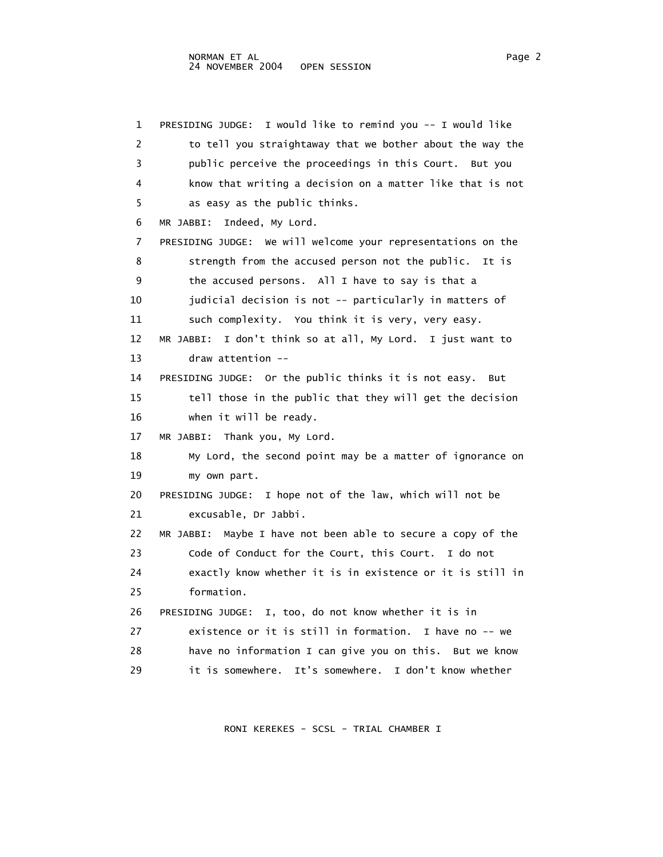1 PRESIDING JUDGE: I would like to remind you -- I would like 2 to tell you straightaway that we bother about the way the 3 public perceive the proceedings in this Court. But you 4 know that writing a decision on a matter like that is not 5 as easy as the public thinks. 6 MR JABBI: Indeed, My Lord. 7 PRESIDING JUDGE: We will welcome your representations on the 8 strength from the accused person not the public. It is 9 the accused persons. All I have to say is that a 10 **judicial decision is not -- particularly in matters of**  11 such complexity. You think it is very, very easy. 12 MR JABBI: I don't think so at all, My Lord. I just want to 13 draw attention -- 14 PRESIDING JUDGE: Or the public thinks it is not easy. But 15 tell those in the public that they will get the decision 16 when it will be ready. 17 MR JABBI: Thank you, My Lord. 18 My Lord, the second point may be a matter of ignorance on 19 my own part. 20 PRESIDING JUDGE: I hope not of the law, which will not be 21 excusable, Dr Jabbi. 22 MR JABBI: Maybe I have not been able to secure a copy of the 23 Code of Conduct for the Court, this Court. I do not 24 exactly know whether it is in existence or it is still in 25 formation. 26 PRESIDING JUDGE: I, too, do not know whether it is in 27 existence or it is still in formation. I have no -- we 28 have no information I can give you on this. But we know 29 it is somewhere. It's somewhere. I don't know whether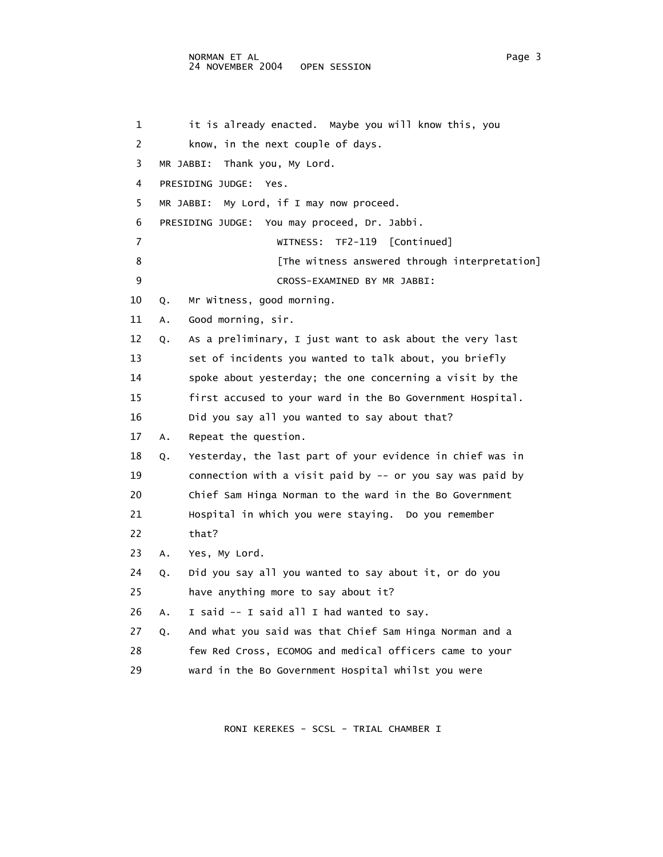## NORMAN ET AL<br>24 NOVEMBER 2004 OPEN SESSION 24 NOVEMBER 2004

1 it is already enacted. Maybe you will know this, you 2 know, in the next couple of days. 3 MR JABBI: Thank you, My Lord. 4 PRESIDING JUDGE: Yes. 5 MR JABBI: My Lord, if I may now proceed. 6 PRESIDING JUDGE: You may proceed, Dr. Jabbi. 7 WITNESS: TF2-119 [Continued] 8 [The witness answered through interpretation] 9 CROSS-EXAMINED BY MR JABBI: 10 Q. Mr Witness, good morning. 11 A. Good morning, sir. 12 Q. As a preliminary, I just want to ask about the very last 13 set of incidents you wanted to talk about, you briefly 14 spoke about yesterday; the one concerning a visit by the 15 first accused to your ward in the Bo Government Hospital. 16 Did you say all you wanted to say about that? 17 A. Repeat the question. 18 Q. Yesterday, the last part of your evidence in chief was in 19 connection with a visit paid by -- or you say was paid by 20 Chief Sam Hinga Norman to the ward in the Bo Government 21 Hospital in which you were staying. Do you remember 22 that? 23 A. Yes, My Lord. 24 Q. Did you say all you wanted to say about it, or do you 25 have anything more to say about it? 26 A. I said -- I said all I had wanted to say. 27 Q. And what you said was that Chief Sam Hinga Norman and a 28 few Red Cross, ECOMOG and medical officers came to your 29 ward in the Bo Government Hospital whilst you were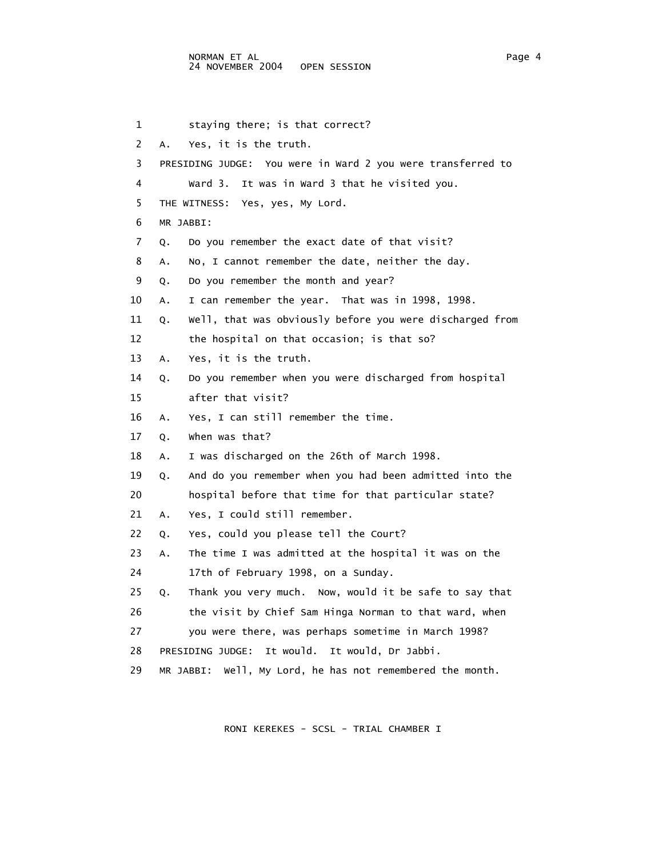1 staying there; is that correct? 2 A. Yes, it is the truth. 3 PRESIDING JUDGE: You were in Ward 2 you were transferred to 4 Ward 3. It was in Ward 3 that he visited you. 5 THE WITNESS: Yes, yes, My Lord. 6 MR JABBI: 7 Q. Do you remember the exact date of that visit? 8 A. No, I cannot remember the date, neither the day. 9 Q. Do you remember the month and year? 10 A. I can remember the year. That was in 1998, 1998. 11 Q. Well, that was obviously before you were discharged from 12 the hospital on that occasion; is that so? 13 A. Yes, it is the truth. 14 Q. Do you remember when you were discharged from hospital 15 after that visit? 16 A. Yes, I can still remember the time. 17 Q. When was that? 18 A. I was discharged on the 26th of March 1998. 19 Q. And do you remember when you had been admitted into the 20 hospital before that time for that particular state? 21 A. Yes, I could still remember. 22 Q. Yes, could you please tell the Court? 23 A. The time I was admitted at the hospital it was on the 24 17th of February 1998, on a Sunday. 25 Q. Thank you very much. Now, would it be safe to say that 26 the visit by Chief Sam Hinga Norman to that ward, when 27 you were there, was perhaps sometime in March 1998? 28 PRESIDING JUDGE: It would. It would, Dr Jabbi. 29 MR JABBI: Well, My Lord, he has not remembered the month.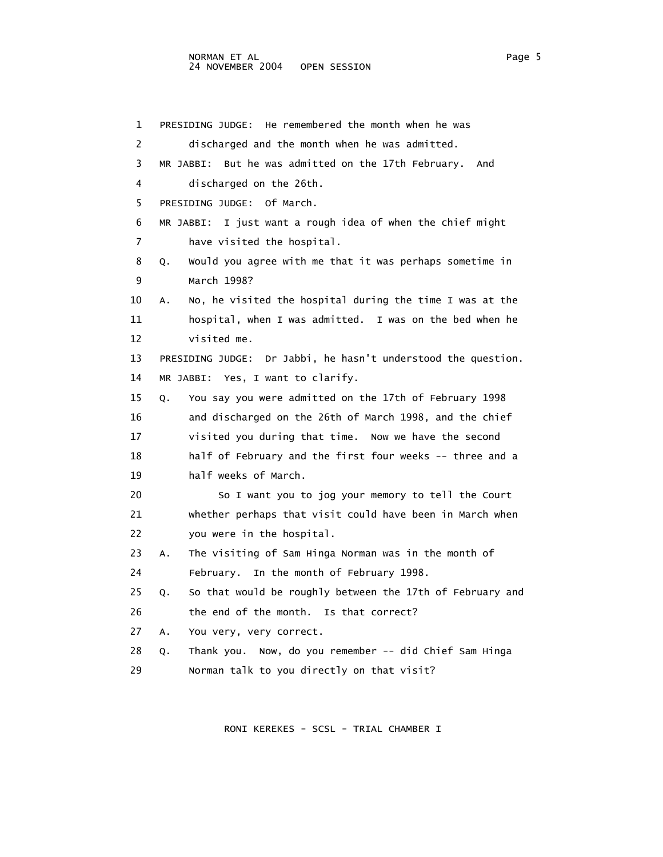1 PRESIDING JUDGE: He remembered the month when he was 2 discharged and the month when he was admitted. 3 MR JABBI: But he was admitted on the 17th February. And 4 discharged on the 26th. 5 PRESIDING JUDGE: Of March. 6 MR JABBI: I just want a rough idea of when the chief might 7 have visited the hospital. 8 Q. Would you agree with me that it was perhaps sometime in 9 March 1998? 10 A. No, he visited the hospital during the time I was at the 11 hospital, when I was admitted. I was on the bed when he 12 visited me. 13 PRESIDING JUDGE: Dr Jabbi, he hasn't understood the question. 14 MR JABBI: Yes, I want to clarify. 15 Q. You say you were admitted on the 17th of February 1998 16 and discharged on the 26th of March 1998, and the chief 17 visited you during that time. Now we have the second 18 half of February and the first four weeks -- three and a 19 half weeks of March. 20 So I want you to jog your memory to tell the Court 21 whether perhaps that visit could have been in March when 22 you were in the hospital. 23 A. The visiting of Sam Hinga Norman was in the month of 24 February. In the month of February 1998. 25 Q. So that would be roughly between the 17th of February and 26 the end of the month. Is that correct? 27 A. You very, very correct. 28 Q. Thank you. Now, do you remember -- did Chief Sam Hinga 29 Norman talk to you directly on that visit?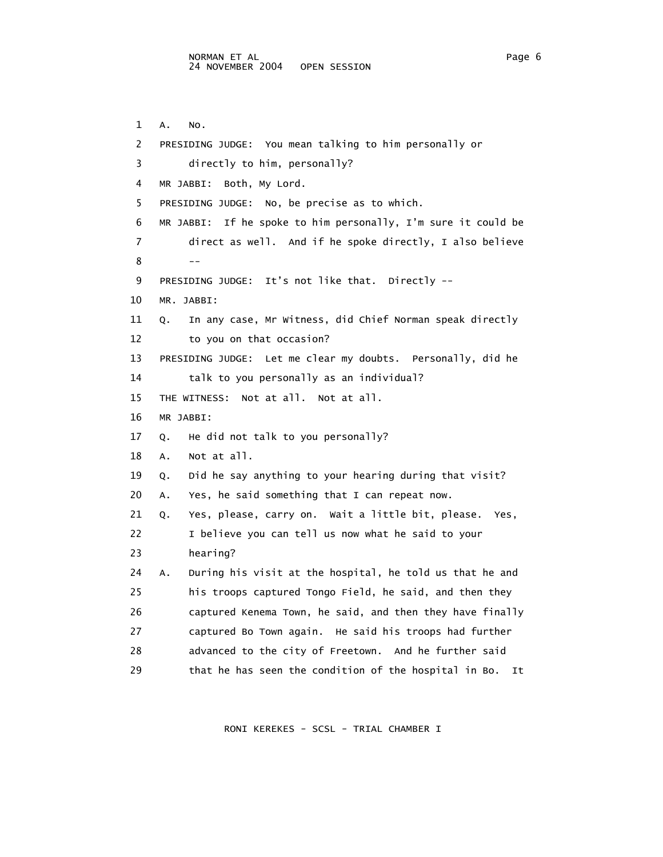1 A. No. 2 PRESIDING JUDGE: You mean talking to him personally or 3 directly to him, personally? 4 MR JABBI: Both, My Lord. 5 PRESIDING JUDGE: No, be precise as to which. 6 MR JABBI: If he spoke to him personally, I'm sure it could be 7 direct as well. And if he spoke directly, I also believe  $8$  --- 9 PRESIDING JUDGE: It's not like that. Directly -- 10 MR. JABBI: 11 Q. In any case, Mr Witness, did Chief Norman speak directly 12 to you on that occasion? 13 PRESIDING JUDGE: Let me clear my doubts. Personally, did he 14 talk to you personally as an individual? 15 THE WITNESS: Not at all. Not at all. 16 MR JABBI: 17 Q. He did not talk to you personally? 18 A. Not at all. 19 Q. Did he say anything to your hearing during that visit? 20 A. Yes, he said something that I can repeat now. 21 Q. Yes, please, carry on. Wait a little bit, please. Yes, 22 I believe you can tell us now what he said to your 23 hearing? 24 A. During his visit at the hospital, he told us that he and 25 his troops captured Tongo Field, he said, and then they 26 captured Kenema Town, he said, and then they have finally 27 captured Bo Town again. He said his troops had further 28 advanced to the city of Freetown. And he further said 29 that he has seen the condition of the hospital in Bo. It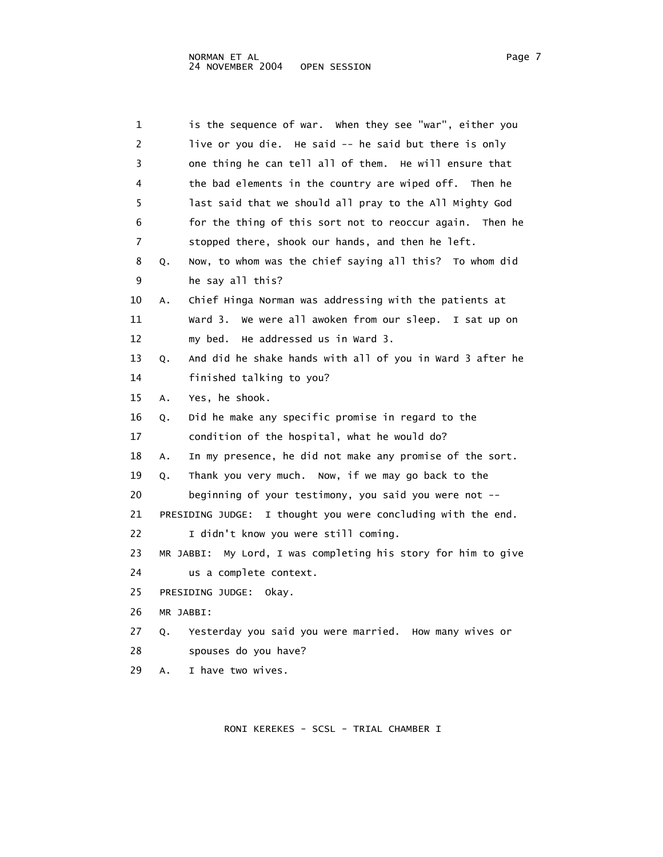| 1  | is the sequence of war. When they see "war", either you          |
|----|------------------------------------------------------------------|
| 2  | live or you die. He said -- he said but there is only            |
| 3  | one thing he can tell all of them. He will ensure that           |
| 4  | the bad elements in the country are wiped off. Then he           |
| 5  | last said that we should all pray to the All Mighty God          |
| 6  | for the thing of this sort not to reoccur again. Then he         |
| 7  | stopped there, shook our hands, and then he left.                |
| 8  | Now, to whom was the chief saying all this? To whom did<br>Q.    |
| 9  | he say all this?                                                 |
| 10 | Chief Hinga Norman was addressing with the patients at<br>Α.     |
| 11 | ward 3.<br>We were all awoken from our sleep. I sat up on        |
| 12 | He addressed us in Ward 3.<br>my bed.                            |
| 13 | And did he shake hands with all of you in Ward 3 after he<br>Q.  |
| 14 | finished talking to you?                                         |
| 15 | Yes, he shook.<br>Α.                                             |
| 16 | Did he make any specific promise in regard to the<br>Q.          |
| 17 | condition of the hospital, what he would do?                     |
| 18 | In my presence, he did not make any promise of the sort.<br>Α.   |
| 19 | Thank you very much. Now, if we may go back to the<br>Q.         |
| 20 | beginning of your testimony, you said you were not --            |
| 21 | PRESIDING JUDGE: I thought you were concluding with the end.     |
| 22 | I didn't know you were still coming.                             |
| 23 | MR JABBI:<br>My Lord, I was completing his story for him to give |
| 24 | us a complete context.                                           |
| 25 | PRESIDING JUDGE:<br>okay.                                        |
| 26 |                                                                  |
|    | MR JABBI:                                                        |
| 27 | Yesterday you said you were married. How many wives or<br>Q.     |
| 28 | spouses do you have?                                             |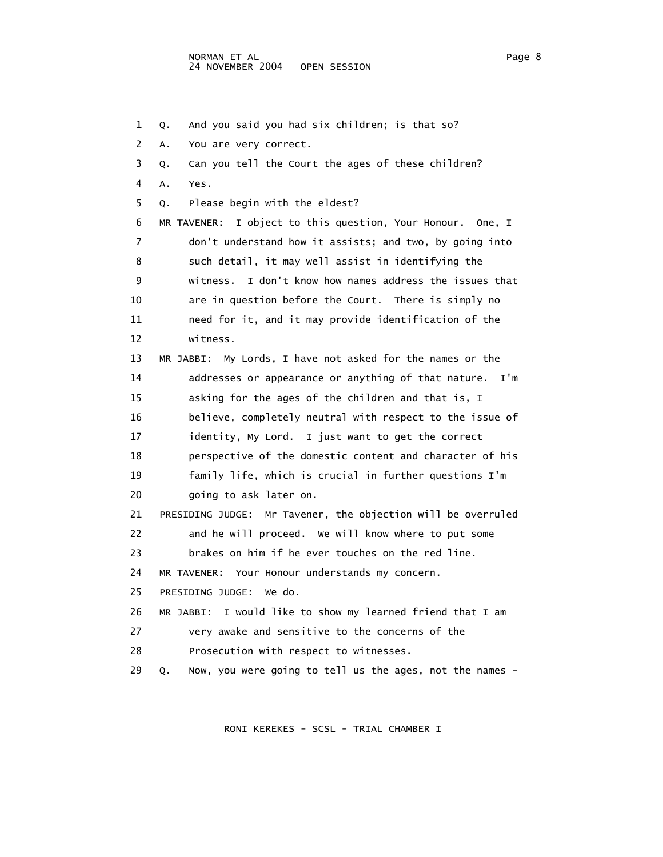1 Q. And you said you had six children; is that so? 2 A. You are very correct. 3 Q. Can you tell the Court the ages of these children? 4 A. Yes. 5 Q. Please begin with the eldest? 6 MR TAVENER: I object to this question, Your Honour. One, I 7 don't understand how it assists; and two, by going into 8 such detail, it may well assist in identifying the 9 witness. I don't know how names address the issues that 10 are in question before the Court. There is simply no 11 need for it, and it may provide identification of the 12 witness. 13 MR JABBI: My Lords, I have not asked for the names or the 14 addresses or appearance or anything of that nature. I'm 15 asking for the ages of the children and that is, I 16 believe, completely neutral with respect to the issue of 17 identity, My Lord. I just want to get the correct 18 perspective of the domestic content and character of his 19 family life, which is crucial in further questions I'm 20 going to ask later on. 21 PRESIDING JUDGE: Mr Tavener, the objection will be overruled 22 and he will proceed. We will know where to put some 23 brakes on him if he ever touches on the red line. 24 MR TAVENER: Your Honour understands my concern. 25 PRESIDING JUDGE: We do. 26 MR JABBI: I would like to show my learned friend that I am 27 very awake and sensitive to the concerns of the 28 Prosecution with respect to witnesses. 29 Q. Now, you were going to tell us the ages, not the names -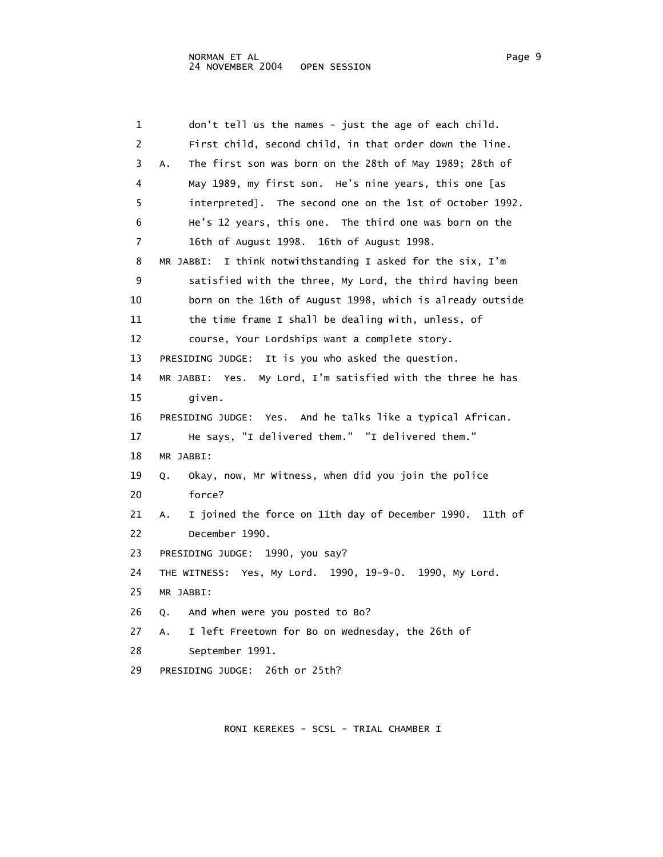1 don't tell us the names - just the age of each child. 2 First child, second child, in that order down the line. 3 A. The first son was born on the 28th of May 1989; 28th of 4 May 1989, my first son. He's nine years, this one [as 5 interpreted]. The second one on the 1st of October 1992. 6 He's 12 years, this one. The third one was born on the 7 16th of August 1998. 16th of August 1998. 8 MR JABBI: I think notwithstanding I asked for the six, I'm 9 satisfied with the three, My Lord, the third having been 10 born on the 16th of August 1998, which is already outside 11 the time frame I shall be dealing with, unless, of 12 course, Your Lordships want a complete story. 13 PRESIDING JUDGE: It is you who asked the question. 14 MR JABBI: Yes. My Lord, I'm satisfied with the three he has 15 given. 16 PRESIDING JUDGE: Yes. And he talks like a typical African. 17 He says, "I delivered them." "I delivered them." 18 MR JABBI: 19 Q. Okay, now, Mr Witness, when did you join the police 20 force? 21 A. I joined the force on 11th day of December 1990. 11th of 22 December 1990. 23 PRESIDING JUDGE: 1990, you say? 24 THE WITNESS: Yes, My Lord. 1990, 19-9-0. 1990, My Lord. 25 MR JABBI: 26 Q. And when were you posted to Bo? 27 A. I left Freetown for Bo on Wednesday, the 26th of 28 September 1991. 29 PRESIDING JUDGE: 26th or 25th?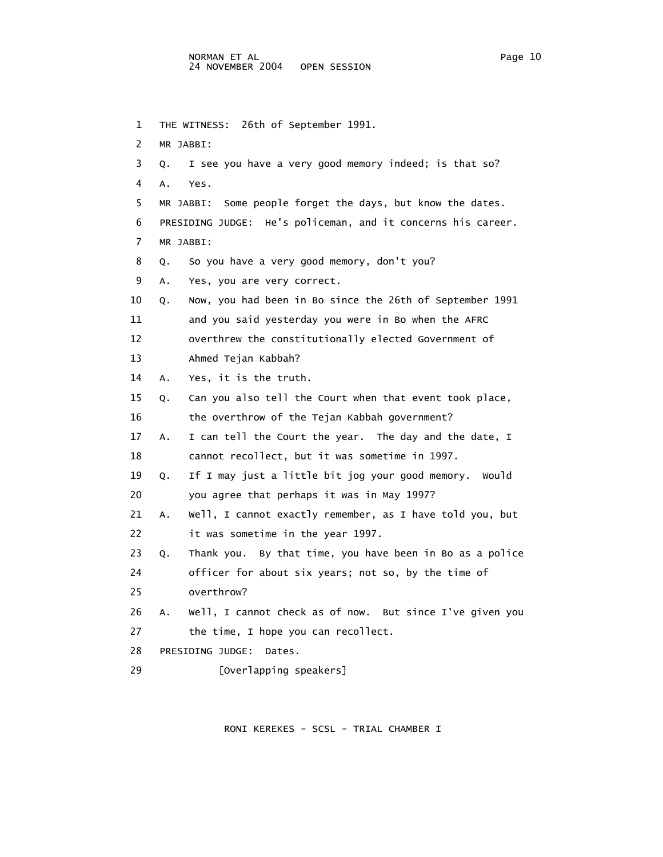1 THE WITNESS: 26th of September 1991.

2 MR JABBI:

3 Q. I see you have a very good memory indeed; is that so?

- 4 A. Yes. 5 MR JABBI: Some people forget the days, but know the dates. 6 PRESIDING JUDGE: He's policeman, and it concerns his career. 7 MR JABBI: 8 Q. So you have a very good memory, don't you? 9 A. Yes, you are very correct. 10 Q. Now, you had been in Bo since the 26th of September 1991 11 and you said yesterday you were in Bo when the AFRC 12 overthrew the constitutionally elected Government of 13 Ahmed Tejan Kabbah? 14 A. Yes, it is the truth. 15 Q. Can you also tell the Court when that event took place, 16 the overthrow of the Tejan Kabbah government? 17 A. I can tell the Court the year. The day and the date, I 18 cannot recollect, but it was sometime in 1997. 19 Q. If I may just a little bit jog your good memory. Would 20 you agree that perhaps it was in May 1997? 21 A. Well, I cannot exactly remember, as I have told you, but 22 it was sometime in the year 1997. 23 Q. Thank you. By that time, you have been in Bo as a police 24 officer for about six years; not so, by the time of 25 overthrow? 26 A. Well, I cannot check as of now. But since I've given you 27 the time, I hope you can recollect. 28 PRESIDING JUDGE: Dates.
- 29 [Overlapping speakers]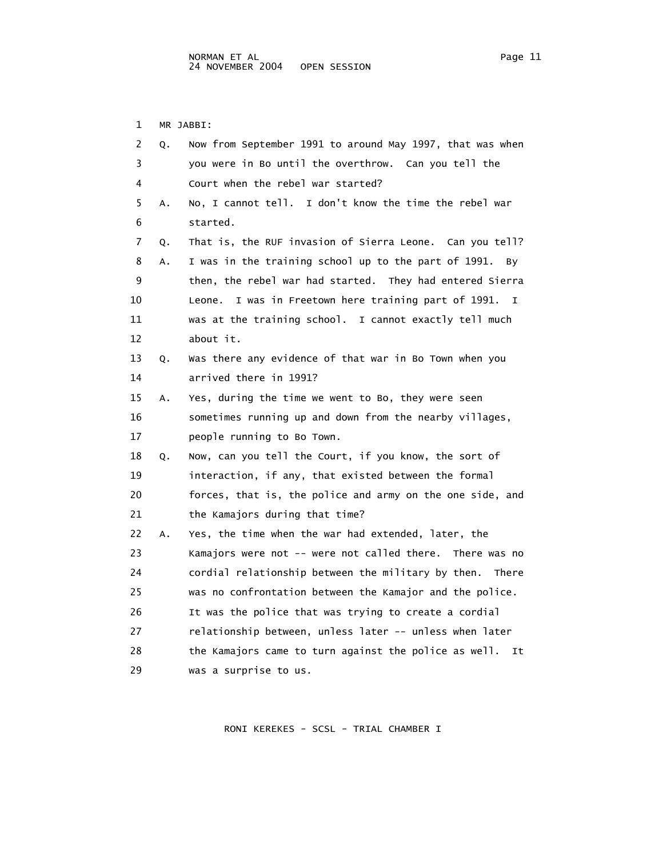1 MR JABBI:

| 2  | Q. | Now from September 1991 to around May 1997, that was when     |
|----|----|---------------------------------------------------------------|
| 3  |    | you were in Bo until the overthrow. Can you tell the          |
| 4  |    | Court when the rebel war started?                             |
| 5  | Α. | No, I cannot tell. I don't know the time the rebel war        |
| 6  |    | started.                                                      |
| 7  | Q. | That is, the RUF invasion of Sierra Leone. Can you tell?      |
| 8  | Α. | I was in the training school up to the part of 1991.<br>By.   |
| 9  |    | then, the rebel war had started. They had entered Sierra      |
| 10 |    | I was in Freetown here training part of 1991.<br>Leone.<br>I. |
| 11 |    | was at the training school. I cannot exactly tell much        |
| 12 |    | about it.                                                     |
| 13 | Q. | Was there any evidence of that war in Bo Town when you        |
| 14 |    | arrived there in 1991?                                        |
| 15 | Α. | Yes, during the time we went to Bo, they were seen            |
| 16 |    | sometimes running up and down from the nearby villages,       |
| 17 |    | people running to Bo Town.                                    |
| 18 | Q. | Now, can you tell the Court, if you know, the sort of         |
| 19 |    | interaction, if any, that existed between the formal          |
| 20 |    | forces, that is, the police and army on the one side, and     |
| 21 |    | the Kamajors during that time?                                |
| 22 | А. | Yes, the time when the war had extended, later, the           |
| 23 |    | Kamajors were not -- were not called there. There was no      |
| 24 |    | cordial relationship between the military by then.<br>There   |
| 25 |    | was no confrontation between the Kamajor and the police.      |
| 26 |    | It was the police that was trying to create a cordial         |
| 27 |    | relationship between, unless later -- unless when later       |
| 28 |    | the Kamajors came to turn against the police as well.<br>It   |
| 29 |    | was a surprise to us.                                         |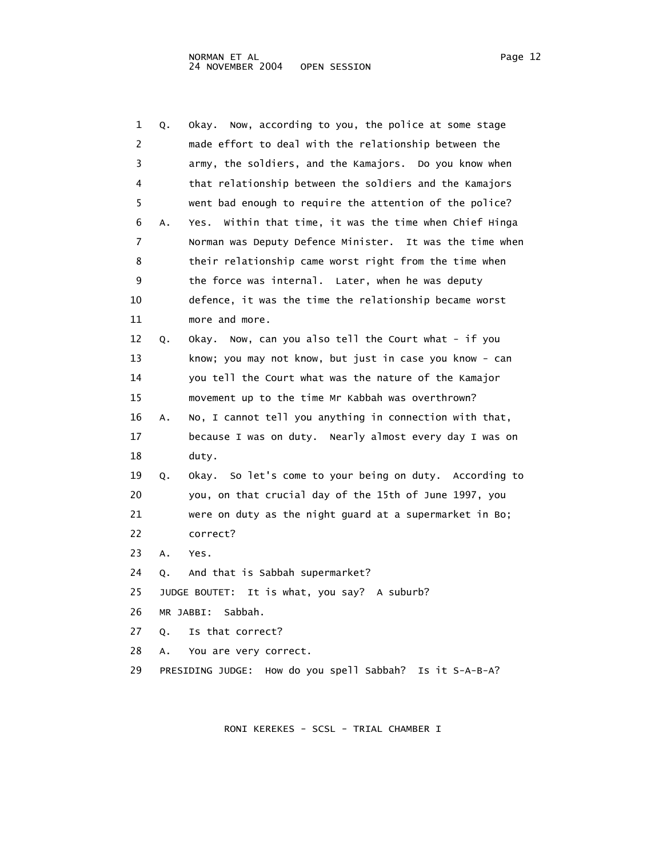| 1  | Q. | Now, according to you, the police at some stage<br>okay.       |
|----|----|----------------------------------------------------------------|
| 2  |    | made effort to deal with the relationship between the          |
| 3  |    | army, the soldiers, and the Kamajors. Do you know when         |
| 4  |    | that relationship between the soldiers and the Kamajors        |
| 5  |    | went bad enough to require the attention of the police?        |
| 6  | Α. | Within that time, it was the time when Chief Hinga<br>Yes.     |
| 7  |    | Norman was Deputy Defence Minister. It was the time when       |
| 8  |    | their relationship came worst right from the time when         |
| 9  |    | the force was internal. Later, when he was deputy              |
| 10 |    | defence, it was the time the relationship became worst         |
| 11 |    | more and more.                                                 |
| 12 | Q. | Okay. Now, can you also tell the Court what - if you           |
| 13 |    | know; you may not know, but just in case you know - can        |
| 14 |    | you tell the Court what was the nature of the Kamajor          |
| 15 |    | movement up to the time Mr Kabbah was overthrown?              |
| 16 | Α. | No, I cannot tell you anything in connection with that,        |
| 17 |    | because I was on duty. Nearly almost every day I was on        |
| 18 |    | duty.                                                          |
| 19 | Q. | Okay. So let's come to your being on duty. According to        |
| 20 |    | you, on that crucial day of the 15th of June 1997, you         |
| 21 |    | were on duty as the night guard at a supermarket in Bo;        |
| 22 |    | correct?                                                       |
| 23 | Α. | Yes.                                                           |
| 24 | Q. | And that is Sabbah supermarket?                                |
| 25 |    | JUDGE BOUTET: It is what, you say? A suburb?                   |
| 26 |    | Sabbah.<br>MR JABBI:                                           |
| 27 | Q. | Is that correct?                                               |
| 28 | А. | You are very correct.                                          |
| 29 |    | How do you spell Sabbah?<br>Is it S-A-B-A?<br>PRESIDING JUDGE: |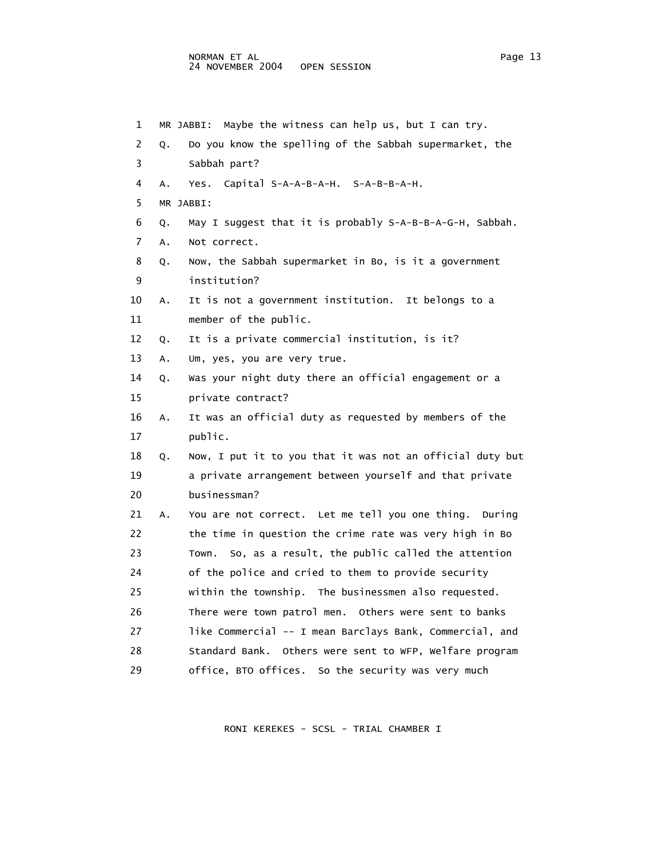## NORMAN ET AL<br>24 NOVEMBER 2004 OPEN SESSION 24 NOVEMBER 2004

 1 MR JABBI: Maybe the witness can help us, but I can try. 2 Q. Do you know the spelling of the Sabbah supermarket, the 3 Sabbah part? 4 A. Yes. Capital S-A-A-B-A-H. S-A-B-B-A-H. 5 MR JABBI: 6 Q. May I suggest that it is probably S-A-B-B-A-G-H, Sabbah. 7 A. Not correct. 8 Q. Now, the Sabbah supermarket in Bo, is it a government 9 institution? 10 A. It is not a government institution. It belongs to a 11 member of the public. 12 Q. It is a private commercial institution, is it? 13 A. Um, yes, you are very true. 14 Q. Was your night duty there an official engagement or a 15 private contract? 16 A. It was an official duty as requested by members of the 17 public. 18 Q. Now, I put it to you that it was not an official duty but 19 a private arrangement between yourself and that private 20 businessman? 21 A. You are not correct. Let me tell you one thing. During 22 the time in question the crime rate was very high in Bo 23 Town. So, as a result, the public called the attention 24 of the police and cried to them to provide security 25 within the township. The businessmen also requested. 26 There were town patrol men. Others were sent to banks 27 like Commercial -- I mean Barclays Bank, Commercial, and 28 Standard Bank. Others were sent to WFP, Welfare program 29 office, BTO offices. So the security was very much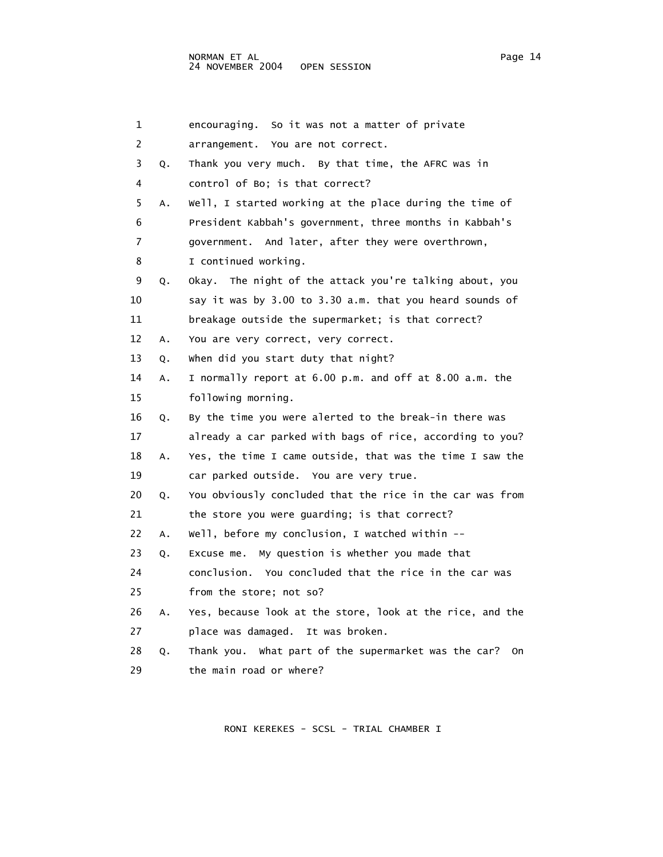| 1  |    | So it was not a matter of private<br>encouraging.          |
|----|----|------------------------------------------------------------|
| 2  |    | arrangement. You are not correct.                          |
| 3  | Q. | Thank you very much. By that time, the AFRC was in         |
| 4  |    | control of Bo; is that correct?                            |
| 5  | Α. | Well, I started working at the place during the time of    |
| 6  |    | President Kabbah's government, three months in Kabbah's    |
| 7  |    | government. And later, after they were overthrown,         |
| 8  |    | I continued working.                                       |
| 9  | Q. | Okay. The night of the attack you're talking about, you    |
| 10 |    | say it was by 3.00 to 3.30 a.m. that you heard sounds of   |
| 11 |    | breakage outside the supermarket; is that correct?         |
| 12 | Α. | You are very correct, very correct.                        |
| 13 | Q. | when did you start duty that night?                        |
| 14 | Α. | I normally report at 6.00 p.m. and off at 8.00 a.m. the    |
| 15 |    | following morning.                                         |
| 16 | Q. | By the time you were alerted to the break-in there was     |
| 17 |    | already a car parked with bags of rice, according to you?  |
| 18 | Α. | Yes, the time I came outside, that was the time I saw the  |
| 19 |    | car parked outside. You are very true.                     |
| 20 | Q. | You obviously concluded that the rice in the car was from  |
| 21 |    | the store you were guarding; is that correct?              |
| 22 | Α. | Well, before my conclusion, I watched within --            |
| 23 | Q. | Excuse me. My question is whether you made that            |
| 24 |    | conclusion. You concluded that the rice in the car was     |
| 25 |    | from the store; not so?                                    |
| 26 | Α. | Yes, because look at the store, look at the rice, and the  |
| 27 |    | place was damaged. It was broken.                          |
| 28 | Q. | Thank you. What part of the supermarket was the car?<br>0n |
| 29 |    | the main road or where?                                    |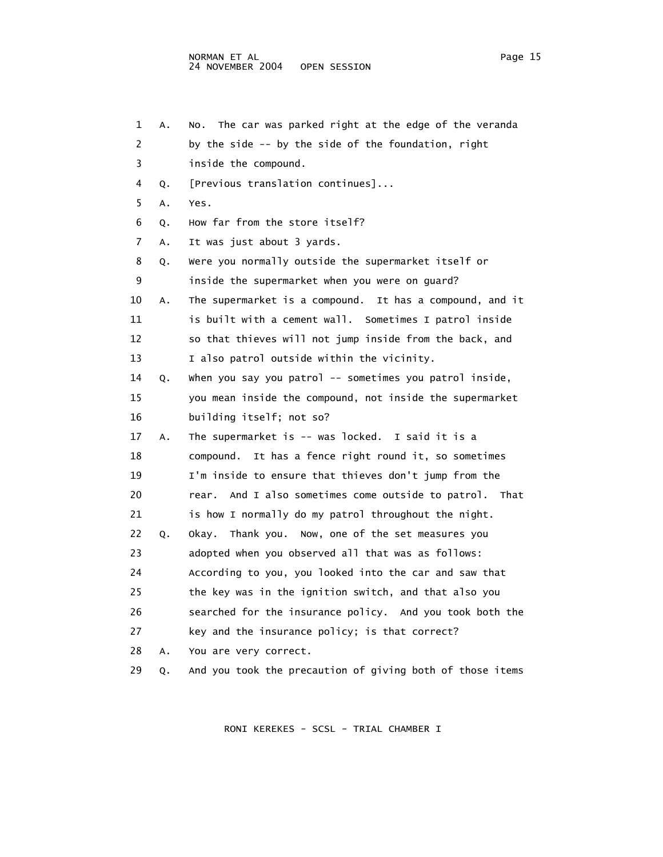| 1              | Α. | The car was parked right at the edge of the veranda<br>NO. |
|----------------|----|------------------------------------------------------------|
| 2              |    | by the side -- by the side of the foundation, right        |
| 3              |    | inside the compound.                                       |
| 4              | Q. | [Previous translation continues]                           |
| 5              | A. | Yes.                                                       |
| 6              | Q. | How far from the store itself?                             |
| $\overline{7}$ | A. | It was just about 3 yards.                                 |
| 8              | Q. | Were you normally outside the supermarket itself or        |
| 9              |    | inside the supermarket when you were on guard?             |
| 10             | Α. | The supermarket is a compound. It has a compound, and it   |
| 11             |    | is built with a cement wall. Sometimes I patrol inside     |
| 12             |    | so that thieves will not jump inside from the back, and    |
| 13             |    | I also patrol outside within the vicinity.                 |
| 14             | Q. | when you say you patrol -- sometimes you patrol inside,    |
| 15             |    | you mean inside the compound, not inside the supermarket   |
| 16             |    | building itself; not so?                                   |
| 17             | A. | The supermarket is -- was locked. I said it is a           |
| 18             |    | compound. It has a fence right round it, so sometimes      |
| 19             |    | I'm inside to ensure that thieves don't jump from the      |
| 20             |    | And I also sometimes come outside to patrol. That<br>rear. |
| 21             |    | is how I normally do my patrol throughout the night.       |
| 22             | Q. | Okay. Thank you. Now, one of the set measures you          |
| 23             |    | adopted when you observed all that was as follows:         |
| 24             |    | According to you, you looked into the car and saw that     |
| 25             |    | the key was in the ignition switch, and that also you      |
| 26             |    | searched for the insurance policy. And you took both the   |
| 27             |    | key and the insurance policy; is that correct?             |
| 28             | А. | You are very correct.                                      |
| 29             | Q. | And you took the precaution of giving both of those items  |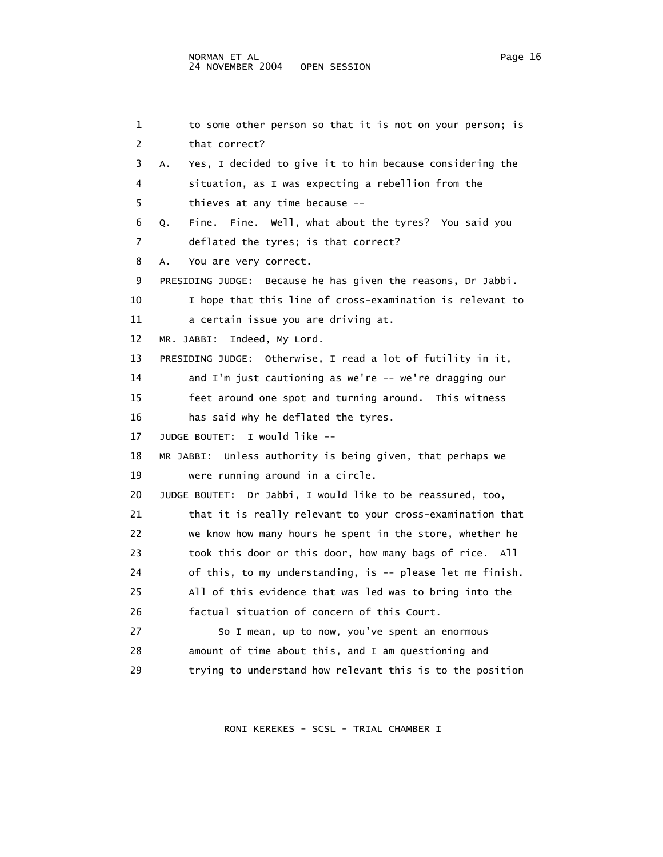1 to some other person so that it is not on your person; is 2 that correct? 3 A. Yes, I decided to give it to him because considering the 4 situation, as I was expecting a rebellion from the 5 thieves at any time because -- 6 Q. Fine. Fine. Well, what about the tyres? You said you 7 deflated the tyres; is that correct? 8 A. You are very correct. 9 PRESIDING JUDGE: Because he has given the reasons, Dr Jabbi. 10 I hope that this line of cross-examination is relevant to 11 a certain issue you are driving at. 12 MR. JABBI: Indeed, My Lord. 13 PRESIDING JUDGE: Otherwise, I read a lot of futility in it, 14 and I'm just cautioning as we're -- we're dragging our 15 feet around one spot and turning around. This witness 16 has said why he deflated the tyres. 17 JUDGE BOUTET: I would like -- 18 MR JABBI: Unless authority is being given, that perhaps we 19 were running around in a circle. 20 JUDGE BOUTET: Dr Jabbi, I would like to be reassured, too, 21 that it is really relevant to your cross-examination that 22 we know how many hours he spent in the store, whether he 23 took this door or this door, how many bags of rice. All 24 of this, to my understanding, is -- please let me finish. 25 All of this evidence that was led was to bring into the 26 factual situation of concern of this Court. 27 So I mean, up to now, you've spent an enormous 28 amount of time about this, and I am questioning and 29 trying to understand how relevant this is to the position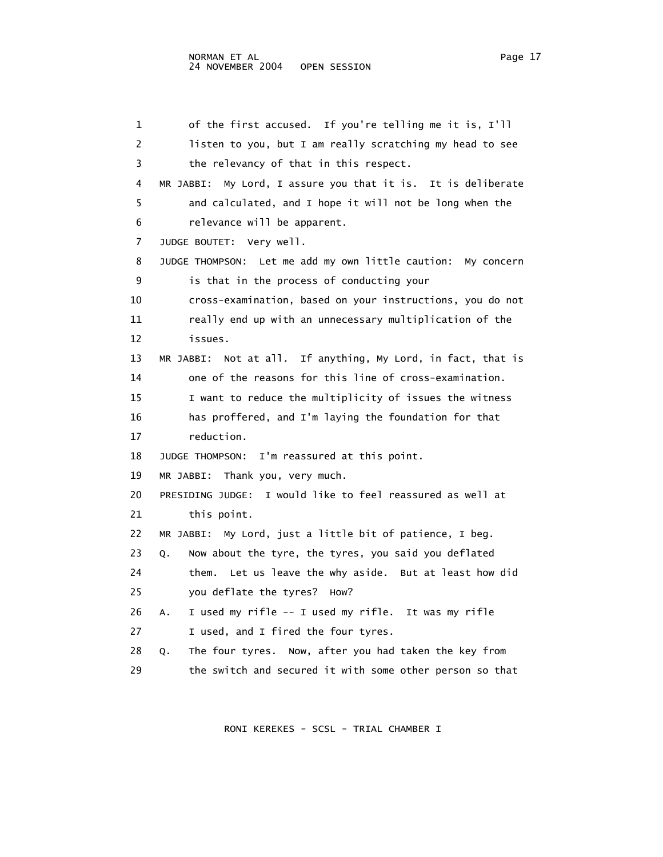1 of the first accused. If you're telling me it is, I'll 2 listen to you, but I am really scratching my head to see 3 the relevancy of that in this respect. 4 MR JABBI: My Lord, I assure you that it is. It is deliberate 5 and calculated, and I hope it will not be long when the 6 relevance will be apparent. 7 JUDGE BOUTET: Very well. 8 JUDGE THOMPSON: Let me add my own little caution: My concern 9 is that in the process of conducting your 10 cross-examination, based on your instructions, you do not 11 really end up with an unnecessary multiplication of the 12 issues. 13 MR JABBI: Not at all. If anything, My Lord, in fact, that is 14 one of the reasons for this line of cross-examination. 15 I want to reduce the multiplicity of issues the witness 16 has proffered, and I'm laying the foundation for that 17 reduction. 18 JUDGE THOMPSON: I'm reassured at this point. 19 MR JABBI: Thank you, very much. 20 PRESIDING JUDGE: I would like to feel reassured as well at 21 this point. 22 MR JABBI: My Lord, just a little bit of patience, I beg. 23 Q. Now about the tyre, the tyres, you said you deflated 24 them. Let us leave the why aside. But at least how did 25 you deflate the tyres? How? 26 A. I used my rifle -- I used my rifle. It was my rifle 27 I used, and I fired the four tyres. 28 Q. The four tyres. Now, after you had taken the key from 29 the switch and secured it with some other person so that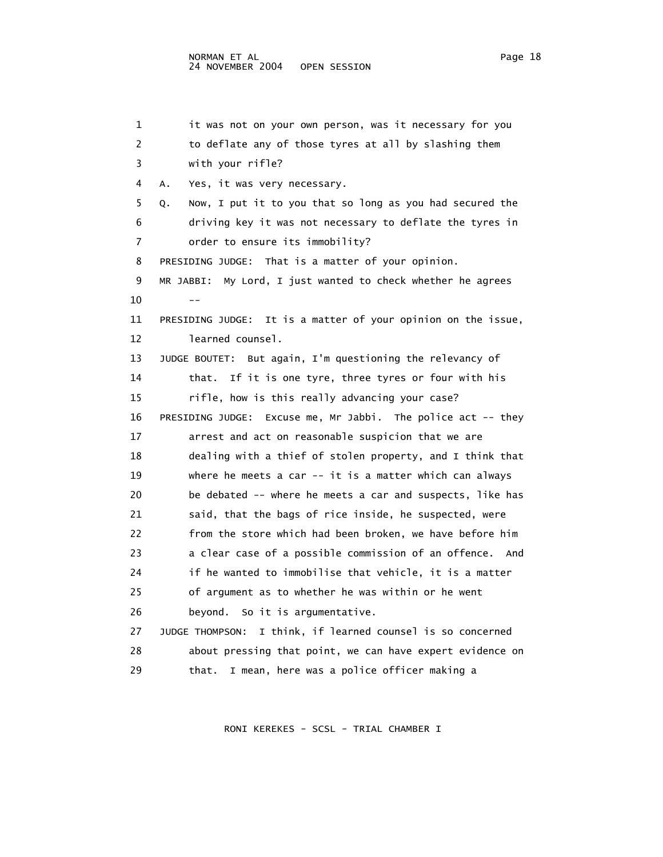1 it was not on your own person, was it necessary for you 2 to deflate any of those tyres at all by slashing them 3 with your rifle? 4 A. Yes, it was very necessary. 5 Q. Now, I put it to you that so long as you had secured the 6 driving key it was not necessary to deflate the tyres in 7 order to ensure its immobility? 8 PRESIDING JUDGE: That is a matter of your opinion. 9 MR JABBI: My Lord, I just wanted to check whether he agrees  $10$  -- 11 PRESIDING JUDGE: It is a matter of your opinion on the issue, 12 learned counsel. 13 JUDGE BOUTET: But again, I'm questioning the relevancy of 14 that. If it is one tyre, three tyres or four with his 15 rifle, how is this really advancing your case? 16 PRESIDING JUDGE: Excuse me, Mr Jabbi. The police act -- they 17 arrest and act on reasonable suspicion that we are 18 dealing with a thief of stolen property, and I think that 19 where he meets a car -- it is a matter which can always 20 be debated -- where he meets a car and suspects, like has 21 said, that the bags of rice inside, he suspected, were 22 from the store which had been broken, we have before him 23 a clear case of a possible commission of an offence. And 24 if he wanted to immobilise that vehicle, it is a matter 25 of argument as to whether he was within or he went 26 beyond. So it is argumentative. 27 JUDGE THOMPSON: I think, if learned counsel is so concerned 28 about pressing that point, we can have expert evidence on 29 that. I mean, here was a police officer making a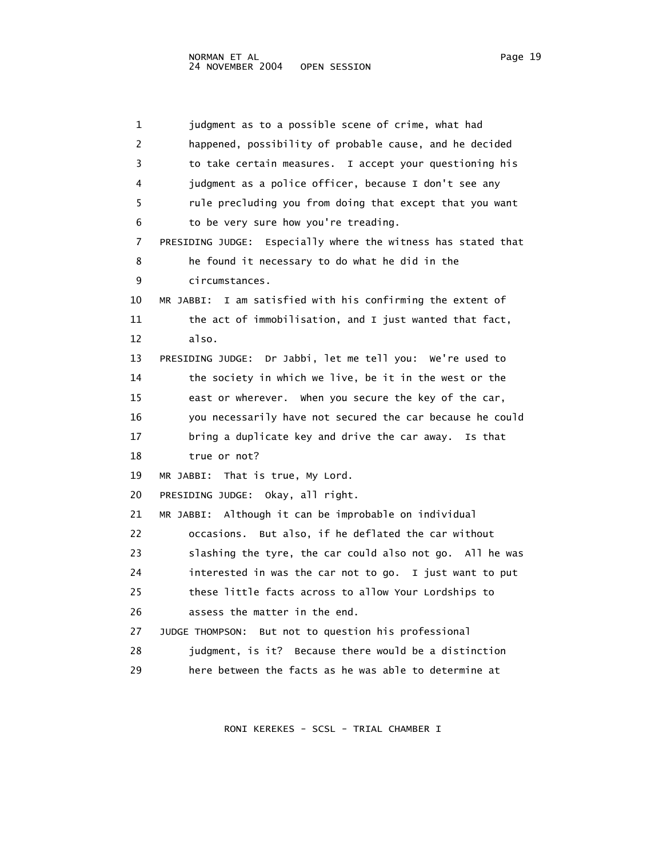1 judgment as to a possible scene of crime, what had 2 happened, possibility of probable cause, and he decided 3 to take certain measures. I accept your questioning his 4 judgment as a police officer, because I don't see any 5 rule precluding you from doing that except that you want 6 to be very sure how you're treading. 7 PRESIDING JUDGE: Especially where the witness has stated that 8 he found it necessary to do what he did in the 9 circumstances. 10 MR JABBI: I am satisfied with his confirming the extent of 11 the act of immobilisation, and I just wanted that fact, 12 also. 13 PRESIDING JUDGE: Dr Jabbi, let me tell you: We're used to 14 the society in which we live, be it in the west or the 15 east or wherever. When you secure the key of the car, 16 you necessarily have not secured the car because he could 17 bring a duplicate key and drive the car away. Is that 18 true or not? 19 MR JABBI: That is true, My Lord. 20 PRESIDING JUDGE: Okay, all right. 21 MR JABBI: Although it can be improbable on individual 22 occasions. But also, if he deflated the car without 23 slashing the tyre, the car could also not go. All he was 24 interested in was the car not to go. I just want to put 25 these little facts across to allow Your Lordships to 26 assess the matter in the end. 27 JUDGE THOMPSON: But not to question his professional 28 judgment, is it? Because there would be a distinction 29 here between the facts as he was able to determine at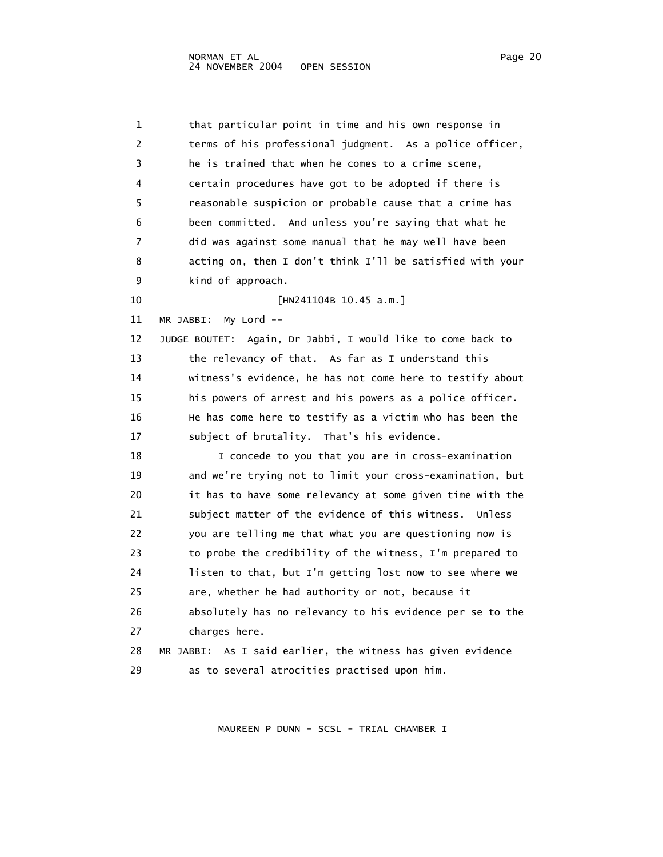1 that particular point in time and his own response in 2 terms of his professional judgment. As a police officer, 3 he is trained that when he comes to a crime scene, 4 certain procedures have got to be adopted if there is 5 reasonable suspicion or probable cause that a crime has 6 been committed. And unless you're saying that what he 7 did was against some manual that he may well have been 8 acting on, then I don't think I'll be satisfied with your 9 kind of approach. 10 [HN241104B 10.45 a.m.] 11 MR JABBI: My Lord -- 12 JUDGE BOUTET: Again, Dr Jabbi, I would like to come back to 13 the relevancy of that. As far as I understand this 14 witness's evidence, he has not come here to testify about 15 his powers of arrest and his powers as a police officer. 16 He has come here to testify as a victim who has been the 17 subject of brutality. That's his evidence. 18 I concede to you that you are in cross-examination 19 and we're trying not to limit your cross-examination, but 20 it has to have some relevancy at some given time with the 21 subject matter of the evidence of this witness. Unless 22 you are telling me that what you are questioning now is 23 to probe the credibility of the witness, I'm prepared to 24 listen to that, but I'm getting lost now to see where we 25 are, whether he had authority or not, because it 26 absolutely has no relevancy to his evidence per se to the 27 charges here. 28 MR JABBI: As I said earlier, the witness has given evidence 29 as to several atrocities practised upon him.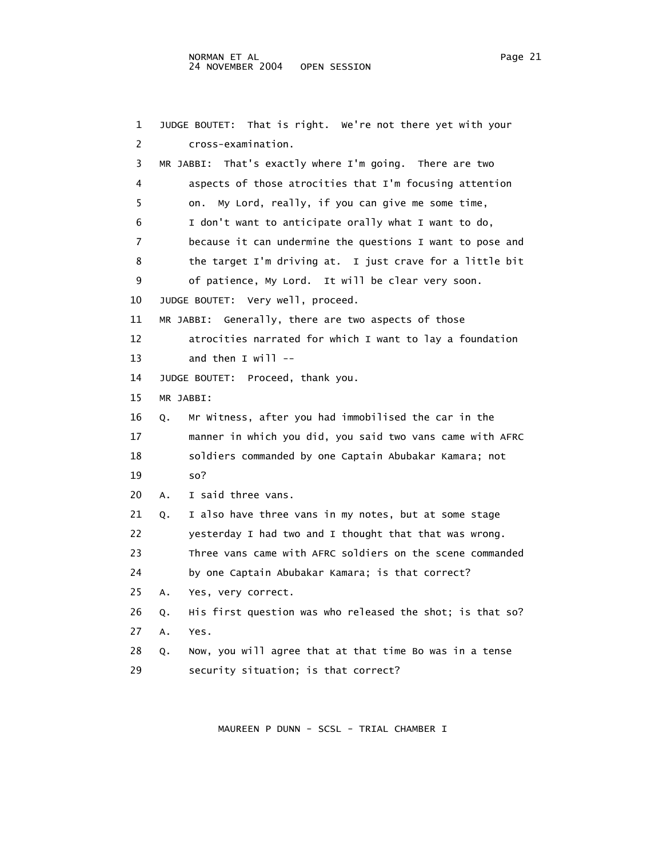1 JUDGE BOUTET: That is right. We're not there yet with your 2 cross-examination. 3 MR JABBI: That's exactly where I'm going. There are two 4 aspects of those atrocities that I'm focusing attention 5 on. My Lord, really, if you can give me some time, 6 I don't want to anticipate orally what I want to do, 7 because it can undermine the questions I want to pose and 8 the target I'm driving at. I just crave for a little bit 9 of patience, My Lord. It will be clear very soon. 10 JUDGE BOUTET: Very well, proceed. 11 MR JABBI: Generally, there are two aspects of those 12 atrocities narrated for which I want to lay a foundation 13 and then I will -- 14 JUDGE BOUTET: Proceed, thank you. 15 MR JABBI: 16 Q. Mr Witness, after you had immobilised the car in the 17 manner in which you did, you said two vans came with AFRC 18 soldiers commanded by one Captain Abubakar Kamara; not 19 so? 20 A. I said three vans. 21 Q. I also have three vans in my notes, but at some stage 22 yesterday I had two and I thought that that was wrong. 23 Three vans came with AFRC soldiers on the scene commanded 24 by one Captain Abubakar Kamara; is that correct? 25 A. Yes, very correct. 26 Q. His first question was who released the shot; is that so? 27 A. Yes. 28 Q. Now, you will agree that at that time Bo was in a tense 29 security situation; is that correct?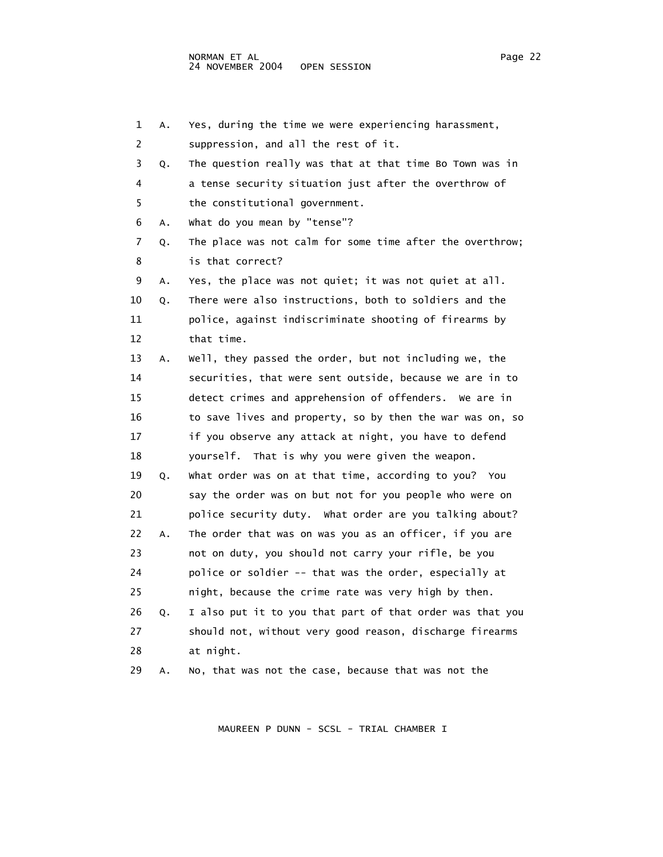| 1  | Α. | Yes, during the time we were experiencing harassment,     |
|----|----|-----------------------------------------------------------|
| 2  |    | suppression, and all the rest of it.                      |
| 3  | Q. | The question really was that at that time Bo Town was in  |
| 4  |    | a tense security situation just after the overthrow of    |
| 5  |    | the constitutional government.                            |
| 6  | Α. | what do you mean by "tense"?                              |
| 7  | Q. | The place was not calm for some time after the overthrow; |
| 8  |    | is that correct?                                          |
| 9  | Α. | Yes, the place was not quiet; it was not quiet at all.    |
| 10 | Q. | There were also instructions, both to soldiers and the    |
| 11 |    | police, against indiscriminate shooting of firearms by    |
| 12 |    | that time.                                                |
| 13 | А. | well, they passed the order, but not including we, the    |
| 14 |    | securities, that were sent outside, because we are in to  |
| 15 |    | detect crimes and apprehension of offenders. We are in    |
| 16 |    | to save lives and property, so by then the war was on, so |
| 17 |    | if you observe any attack at night, you have to defend    |
| 18 |    | yourself. That is why you were given the weapon.          |
| 19 | Q. | What order was on at that time, according to you? You     |
| 20 |    | say the order was on but not for you people who were on   |
| 21 |    | police security duty. What order are you talking about?   |
| 22 | Α. | The order that was on was you as an officer, if you are   |
| 23 |    | not on duty, you should not carry your rifle, be you      |
| 24 |    | police or soldier -- that was the order, especially at    |
| 25 |    | night, because the crime rate was very high by then.      |
| 26 | Q. | I also put it to you that part of that order was that you |
| 27 |    | should not, without very good reason, discharge firearms  |
| 28 |    | at night.                                                 |
| 29 | А. | No, that was not the case, because that was not the       |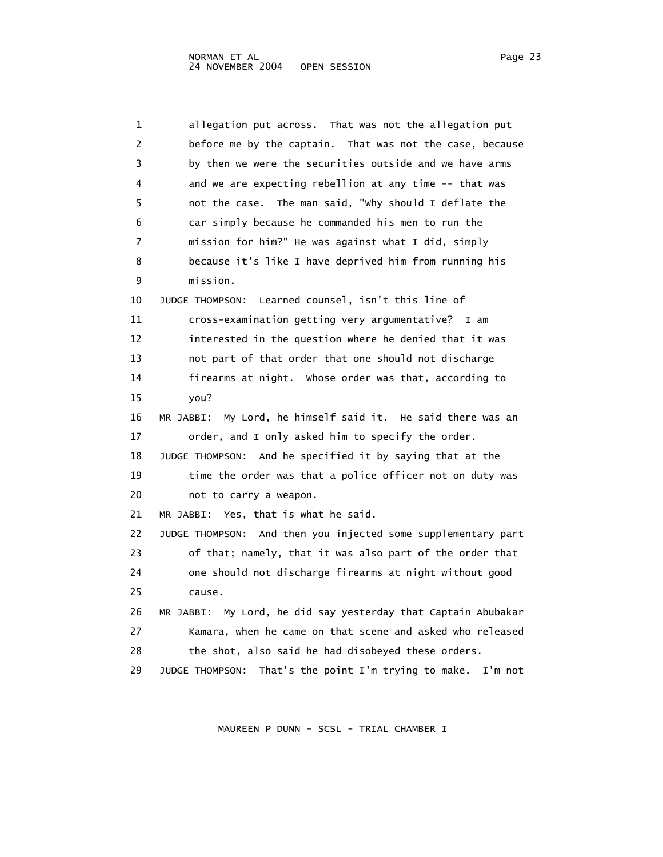| 1  | allegation put across. That was not the allegation put          |
|----|-----------------------------------------------------------------|
| 2  | before me by the captain. That was not the case, because        |
| 3  | by then we were the securities outside and we have arms         |
| 4  | and we are expecting rebellion at any time -- that was          |
| 5  | not the case. The man said, "why should I deflate the           |
| 6  | car simply because he commanded his men to run the              |
| 7  | mission for him?" He was against what I did, simply             |
| 8  | because it's like I have deprived him from running his          |
| 9  | mission.                                                        |
| 10 | JUDGE THOMPSON: Learned counsel, isn't this line of             |
| 11 | cross-examination getting very argumentative? I am              |
| 12 | interested in the question where he denied that it was          |
| 13 | not part of that order that one should not discharge            |
| 14 | firearms at night. Whose order was that, according to           |
| 15 | you?                                                            |
| 16 | MR JABBI: My Lord, he himself said it. He said there was an     |
| 17 | order, and I only asked him to specify the order.               |
| 18 | JUDGE THOMPSON: And he specified it by saying that at the       |
| 19 | time the order was that a police officer not on duty was        |
| 20 | not to carry a weapon.                                          |
| 21 | MR JABBI: Yes, that is what he said.                            |
| 22 | JUDGE THOMPSON: And then you injected some supplementary part   |
| 23 | of that; namely, that it was also part of the order that        |
| 24 | one should not discharge firearms at night without good         |
| 25 | cause.                                                          |
| 26 | MR JABBI: My Lord, he did say yesterday that Captain Abubakar   |
| 27 | Kamara, when he came on that scene and asked who released       |
| 28 | the shot, also said he had disobeyed these orders.              |
| 29 | That's the point I'm trying to make. I'm not<br>JUDGE THOMPSON: |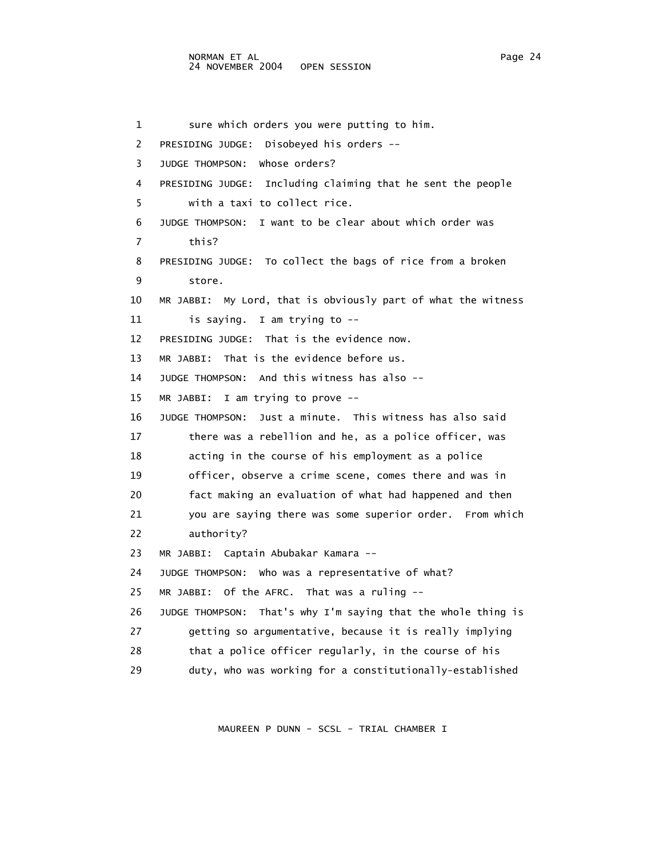1 sure which orders you were putting to him. 2 PRESIDING JUDGE: Disobeyed his orders -- 3 JUDGE THOMPSON: Whose orders? 4 PRESIDING JUDGE: Including claiming that he sent the people 5 with a taxi to collect rice. 6 JUDGE THOMPSON: I want to be clear about which order was 7 this? 8 PRESIDING JUDGE: To collect the bags of rice from a broken 9 store. 10 MR JABBI: My Lord, that is obviously part of what the witness 11 is saying. I am trying to -- 12 PRESIDING JUDGE: That is the evidence now. 13 MR JABBI: That is the evidence before us. 14 JUDGE THOMPSON: And this witness has also -- 15 MR JABBI: I am trying to prove -- 16 JUDGE THOMPSON: Just a minute. This witness has also said 17 there was a rebellion and he, as a police officer, was 18 acting in the course of his employment as a police 19 officer, observe a crime scene, comes there and was in 20 fact making an evaluation of what had happened and then 21 you are saying there was some superior order. From which 22 authority? 23 MR JABBI: Captain Abubakar Kamara -- 24 JUDGE THOMPSON: Who was a representative of what? 25 MR JABBI: Of the AFRC. That was a ruling -- 26 JUDGE THOMPSON: That's why I'm saying that the whole thing is 27 getting so argumentative, because it is really implying 28 that a police officer regularly, in the course of his 29 duty, who was working for a constitutionally-established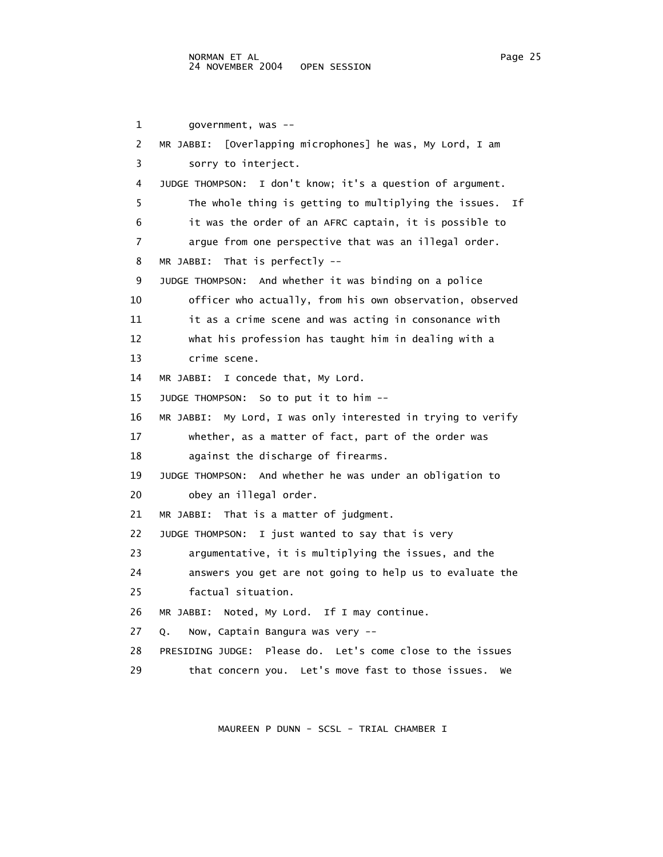1 government, was -- 2 MR JABBI: [Overlapping microphones] he was, My Lord, I am 3 sorry to interject. 4 JUDGE THOMPSON: I don't know; it's a question of argument. 5 The whole thing is getting to multiplying the issues. If 6 it was the order of an AFRC captain, it is possible to 7 argue from one perspective that was an illegal order. 8 MR JABBI: That is perfectly -- 9 JUDGE THOMPSON: And whether it was binding on a police 10 officer who actually, from his own observation, observed 11 it as a crime scene and was acting in consonance with 12 what his profession has taught him in dealing with a 13 crime scene. 14 MR JABBI: I concede that, My Lord. 15 JUDGE THOMPSON: So to put it to him -- 16 MR JABBI: My Lord, I was only interested in trying to verify 17 whether, as a matter of fact, part of the order was 18 against the discharge of firearms. 19 JUDGE THOMPSON: And whether he was under an obligation to 20 obey an illegal order. 21 MR JABBI: That is a matter of judgment. 22 JUDGE THOMPSON: I just wanted to say that is very 23 argumentative, it is multiplying the issues, and the 24 answers you get are not going to help us to evaluate the 25 factual situation. 26 MR JABBI: Noted, My Lord. If I may continue. 27 Q. Now, Captain Bangura was very -- 28 PRESIDING JUDGE: Please do. Let's come close to the issues 29 that concern you. Let's move fast to those issues. We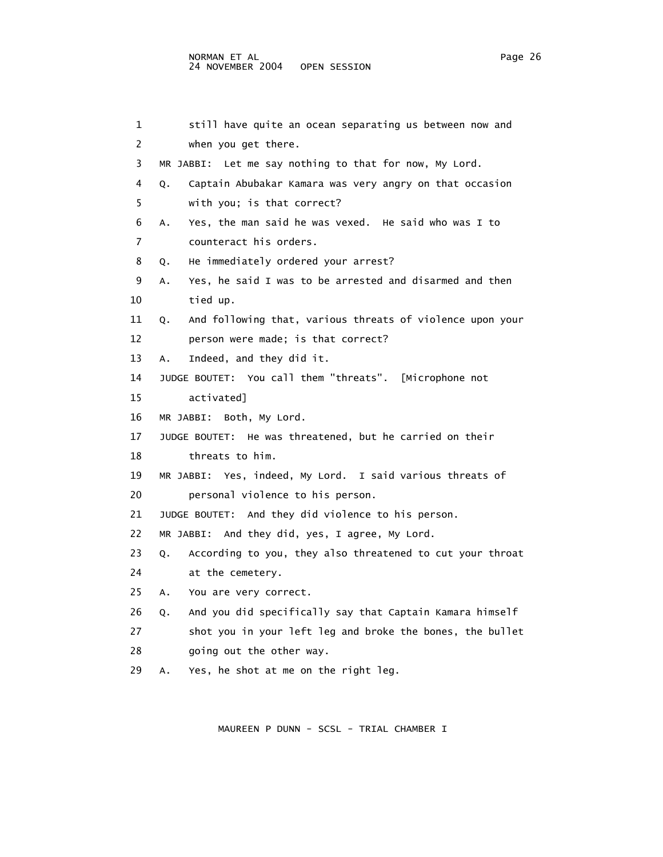### NORMAN ET AL Page 26 24 NOVEMBER 2004 OPEN SESSION

 1 still have quite an ocean separating us between now and 2 when you get there. 3 MR JABBI: Let me say nothing to that for now, My Lord. 4 Q. Captain Abubakar Kamara was very angry on that occasion 5 with you; is that correct? 6 A. Yes, the man said he was vexed. He said who was I to 7 counteract his orders. 8 Q. He immediately ordered your arrest? 9 A. Yes, he said I was to be arrested and disarmed and then 10 tied up. 11 Q. And following that, various threats of violence upon your 12 person were made; is that correct? 13 A. Indeed, and they did it. 14 JUDGE BOUTET: You call them "threats". [Microphone not 15 activated] 16 MR JABBI: Both, My Lord. 17 JUDGE BOUTET: He was threatened, but he carried on their 18 threats to him. 19 MR JABBI: Yes, indeed, My Lord. I said various threats of 20 personal violence to his person. 21 JUDGE BOUTET: And they did violence to his person. 22 MR JABBI: And they did, yes, I agree, My Lord. 23 Q. According to you, they also threatened to cut your throat 24 at the cemetery. 25 A. You are very correct. 26 Q. And you did specifically say that Captain Kamara himself 27 shot you in your left leg and broke the bones, the bullet 28 going out the other way. 29 A. Yes, he shot at me on the right leg.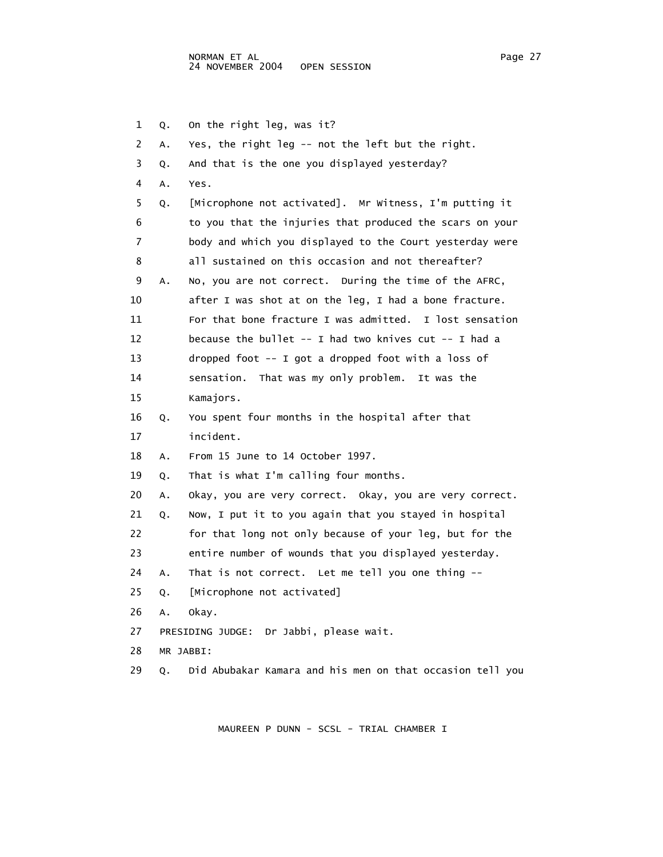1 Q. On the right leg, was it? 2 A. Yes, the right leg -- not the left but the right. 3 Q. And that is the one you displayed yesterday? 4 A. Yes. 5 Q. [Microphone not activated]. Mr Witness, I'm putting it 6 to you that the injuries that produced the scars on your 7 body and which you displayed to the Court yesterday were 8 all sustained on this occasion and not thereafter? 9 A. No, you are not correct. During the time of the AFRC, 10 after I was shot at on the leg, I had a bone fracture. 11 For that bone fracture I was admitted. I lost sensation 12 because the bullet -- I had two knives cut -- I had a 13 dropped foot -- I got a dropped foot with a loss of 14 sensation. That was my only problem. It was the 15 Kamajors. 16 Q. You spent four months in the hospital after that 17 incident. 18 A. From 15 June to 14 October 1997. 19 Q. That is what I'm calling four months. 20 A. Okay, you are very correct. Okay, you are very correct. 21 Q. Now, I put it to you again that you stayed in hospital 22 for that long not only because of your leg, but for the 23 entire number of wounds that you displayed yesterday. 24 A. That is not correct. Let me tell you one thing -- 25 Q. [Microphone not activated] 26 A. Okay. 27 PRESIDING JUDGE: Dr Jabbi, please wait. 28 MR JABBI: 29 Q. Did Abubakar Kamara and his men on that occasion tell you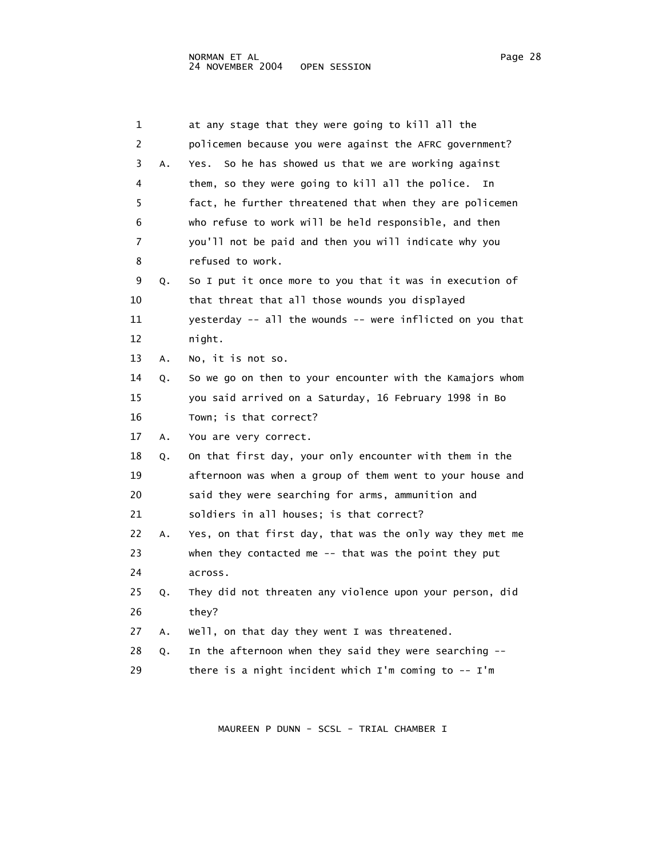| 1  |    | at any stage that they were going to kill all the         |
|----|----|-----------------------------------------------------------|
| 2  |    | policemen because you were against the AFRC government?   |
| 3  | A. | So he has showed us that we are working against<br>Yes.   |
| 4  |    | them, so they were going to kill all the police.<br>In    |
| 5  |    | fact, he further threatened that when they are policemen  |
| 6  |    | who refuse to work will be held responsible, and then     |
| 7  |    | you'll not be paid and then you will indicate why you     |
| 8  |    | refused to work.                                          |
| 9  | Q. | So I put it once more to you that it was in execution of  |
| 10 |    | that threat that all those wounds you displayed           |
| 11 |    | yesterday -- all the wounds -- were inflicted on you that |
| 12 |    | night.                                                    |
| 13 | Α. | No, it is not so.                                         |
| 14 | Q. | So we go on then to your encounter with the Kamajors whom |
| 15 |    | you said arrived on a Saturday, 16 February 1998 in Bo    |
| 16 |    | Town; is that correct?                                    |
| 17 | А. | You are very correct.                                     |
| 18 | Q. | On that first day, your only encounter with them in the   |
| 19 |    | afternoon was when a group of them went to your house and |
| 20 |    | said they were searching for arms, ammunition and         |
| 21 |    | soldiers in all houses; is that correct?                  |
| 22 | А. | Yes, on that first day, that was the only way they met me |
| 23 |    | when they contacted me -- that was the point they put     |
| 24 |    | across.                                                   |
| 25 | Q. | They did not threaten any violence upon your person, did  |
| 26 |    | they?                                                     |
| 27 | А. | Well, on that day they went I was threatened.             |
| 28 | Q. | In the afternoon when they said they were searching --    |
| 29 |    | there is a night incident which I'm coming to -- I'm      |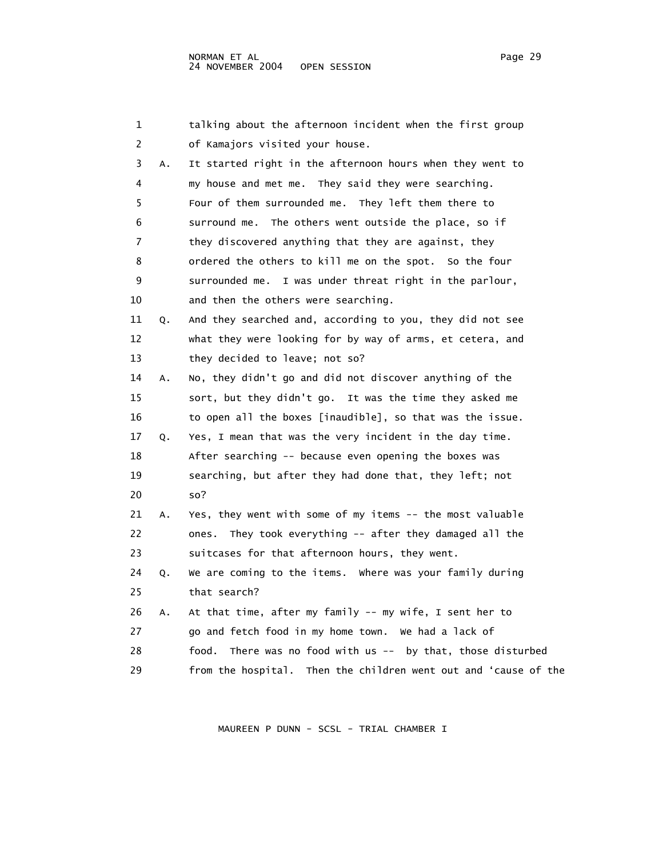| 1                       |    | talking about the afternoon incident when the first group        |
|-------------------------|----|------------------------------------------------------------------|
| 2                       |    | of Kamajors visited your house.                                  |
| 3                       | Α. | It started right in the afternoon hours when they went to        |
| $\overline{\mathbf{4}}$ |    | my house and met me. They said they were searching.              |
| 5                       |    | Four of them surrounded me. They left them there to              |
| 6                       |    | surround me. The others went outside the place, so if            |
| 7                       |    | they discovered anything that they are against, they             |
| 8                       |    | ordered the others to kill me on the spot. So the four           |
| 9                       |    | surrounded me. I was under threat right in the parlour,          |
| 10                      |    | and then the others were searching.                              |
| 11                      | Q. | And they searched and, according to you, they did not see        |
| 12                      |    | what they were looking for by way of arms, et cetera, and        |
| 13                      |    | they decided to leave; not so?                                   |
| 14                      | А. | No, they didn't go and did not discover anything of the          |
| 15                      |    | sort, but they didn't go. It was the time they asked me          |
| 16                      |    | to open all the boxes [inaudible], so that was the issue.        |
| 17                      | Q. | Yes, I mean that was the very incident in the day time.          |
| 18                      |    | After searching -- because even opening the boxes was            |
| 19                      |    | searching, but after they had done that, they left; not          |
| 20                      |    | so?                                                              |
| 21                      | А. | Yes, they went with some of my items -- the most valuable        |
| 22                      |    | ones. They took everything -- after they damaged all the         |
| 23                      |    | suitcases for that afternoon hours, they went.                   |
| 24                      | Q. | We are coming to the items. Where was your family during         |
| 25                      |    | that search?                                                     |
| 26                      | Α. | At that time, after my family -- my wife, I sent her to          |
| 27                      |    | go and fetch food in my home town. We had a lack of              |
| 28                      |    | There was no food with us $--$ by that, those disturbed<br>food. |
| 29                      |    | from the hospital. Then the children went out and 'cause of the  |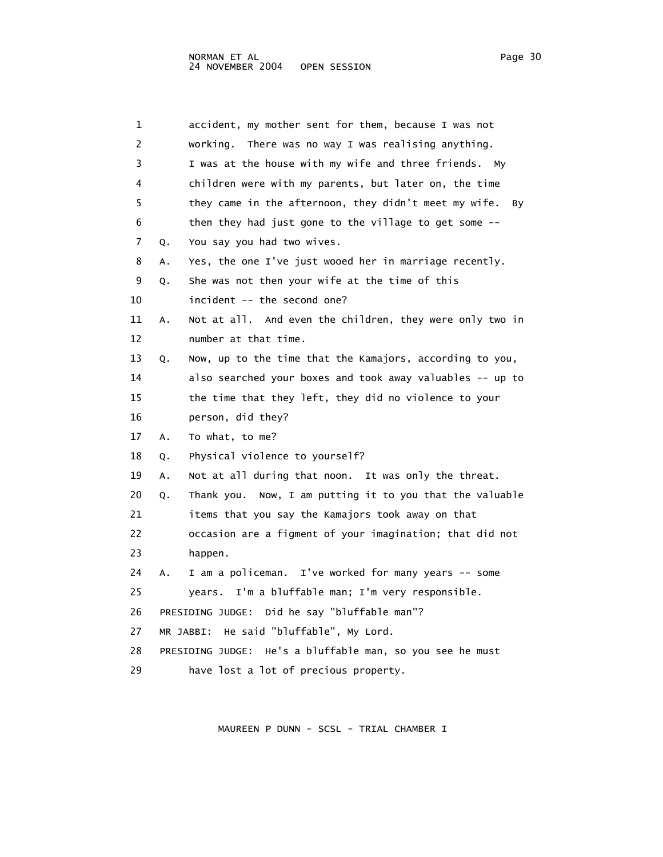| 1  |    | accident, my mother sent for them, because I was not         |
|----|----|--------------------------------------------------------------|
| 2  |    | working.<br>There was no way I was realising anything.       |
| 3  |    | I was at the house with my wife and three friends. My        |
| 4  |    | children were with my parents, but later on, the time        |
| 5  |    | they came in the afternoon, they didn't meet my wife.<br>By  |
| 6  |    | then they had just gone to the village to get some --        |
| 7  | Q. | You say you had two wives.                                   |
| 8  | А. | Yes, the one I've just wooed her in marriage recently.       |
| 9  | Q. | She was not then your wife at the time of this               |
| 10 |    | incident -- the second one?                                  |
| 11 | Α. | Not at all. And even the children, they were only two in     |
| 12 |    | number at that time.                                         |
| 13 | Q. | Now, up to the time that the Kamajors, according to you,     |
| 14 |    | also searched your boxes and took away valuables -- up to    |
| 15 |    | the time that they left, they did no violence to your        |
| 16 |    | person, did they?                                            |
| 17 | Α. | To what, to me?                                              |
| 18 | Q. | Physical violence to yourself?                               |
| 19 | Α. | Not at all during that noon. It was only the threat.         |
| 20 | Q. | Thank you. Now, I am putting it to you that the valuable     |
| 21 |    | items that you say the Kamajors took away on that            |
| 22 |    | occasion are a figment of your imagination; that did not     |
| 23 |    | happen.                                                      |
| 24 | А. | I am a policeman. I've worked for many years -- some         |
| 25 |    | I'm a bluffable man; I'm very responsible.<br>years.         |
| 26 |    | PRESIDING JUDGE: Did he say "bluffable man"?                 |
| 27 |    | He said "bluffable", My Lord.<br>MR JABBI:                   |
| 28 |    | He's a bluffable man, so you see he must<br>PRESIDING JUDGE: |
| 29 |    | have lost a lot of precious property.                        |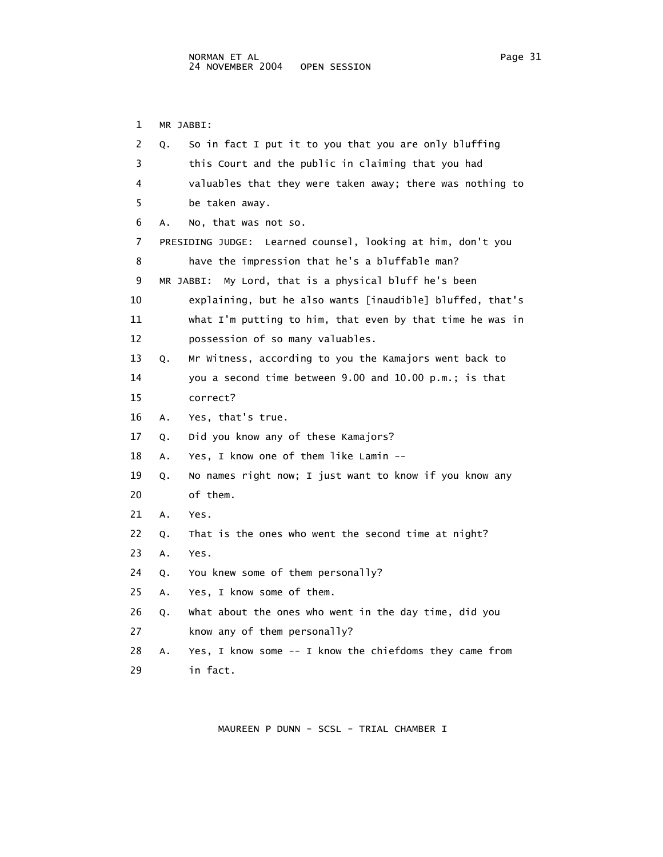1 MR JABBI: 2 Q. So in fact I put it to you that you are only bluffing 3 this Court and the public in claiming that you had 4 valuables that they were taken away; there was nothing to 5 be taken away. 6 A. No, that was not so. 7 PRESIDING JUDGE: Learned counsel, looking at him, don't you 8 have the impression that he's a bluffable man? 9 MR JABBI: My Lord, that is a physical bluff he's been 10 explaining, but he also wants [inaudible] bluffed, that's 11 what I'm putting to him, that even by that time he was in 12 possession of so many valuables. 13 Q. Mr Witness, according to you the Kamajors went back to 14 you a second time between 9.00 and 10.00 p.m.; is that 15 correct? 16 A. Yes, that's true. 17 Q. Did you know any of these Kamajors? 18 A. Yes, I know one of them like Lamin -- 19 Q. No names right now; I just want to know if you know any 20 of them. 21 A. Yes. 22 Q. That is the ones who went the second time at night? 23 A. Yes. 24 Q. You knew some of them personally? 25 A. Yes, I know some of them. 26 Q. What about the ones who went in the day time, did you 27 know any of them personally? 28 A. Yes, I know some -- I know the chiefdoms they came from 29 in fact.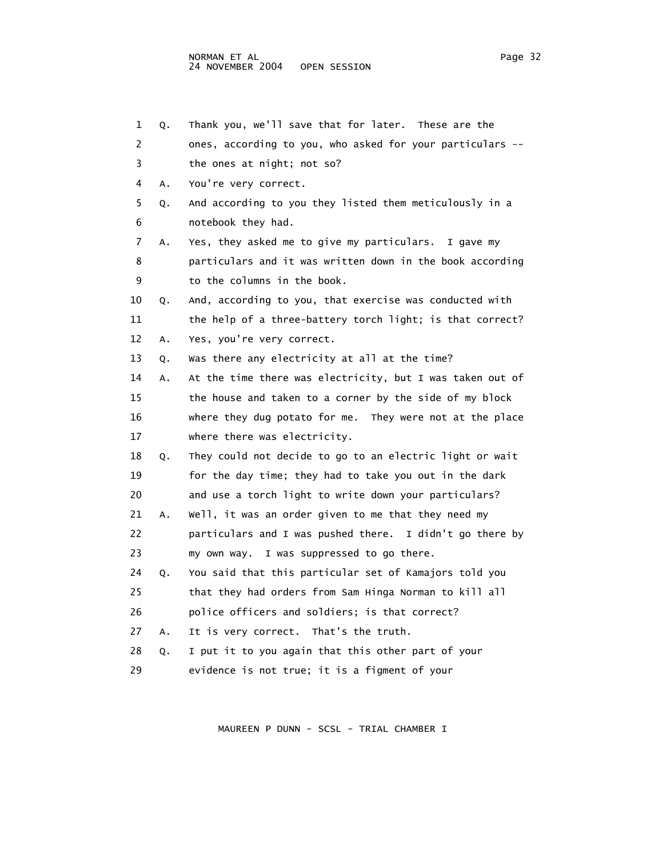| 1  | Q. | Thank you, we'll save that for later. These are the       |
|----|----|-----------------------------------------------------------|
| 2  |    | ones, according to you, who asked for your particulars -- |
| 3  |    | the ones at night; not so?                                |
| 4  | Α. | You're very correct.                                      |
| 5  | Q. | And according to you they listed them meticulously in a   |
| 6  |    | notebook they had.                                        |
| 7  | Α. | Yes, they asked me to give my particulars.<br>I gave my   |
| 8  |    | particulars and it was written down in the book according |
| 9  |    | to the columns in the book.                               |
| 10 | Q. | And, according to you, that exercise was conducted with   |
| 11 |    | the help of a three-battery torch light; is that correct? |
| 12 | Α. | Yes, you're very correct.                                 |
| 13 | Q. | Was there any electricity at all at the time?             |
| 14 | Α. | At the time there was electricity, but I was taken out of |
| 15 |    | the house and taken to a corner by the side of my block   |
| 16 |    | where they dug potato for me. They were not at the place  |
| 17 |    | where there was electricity.                              |
| 18 | Q. | They could not decide to go to an electric light or wait  |
| 19 |    | for the day time; they had to take you out in the dark    |
| 20 |    | and use a torch light to write down your particulars?     |
| 21 | А. | Well, it was an order given to me that they need my       |
| 22 |    | particulars and I was pushed there. I didn't go there by  |
| 23 |    | my own way. I was suppressed to go there.                 |
| 24 | Q. | You said that this particular set of Kamajors told you    |
| 25 |    | that they had orders from Sam Hinga Norman to kill all    |
| 26 |    | police officers and soldiers; is that correct?            |
| 27 | Α. | It is very correct. That's the truth.                     |
| 28 | Q. | I put it to you again that this other part of your        |
| 29 |    | evidence is not true; it is a figment of your             |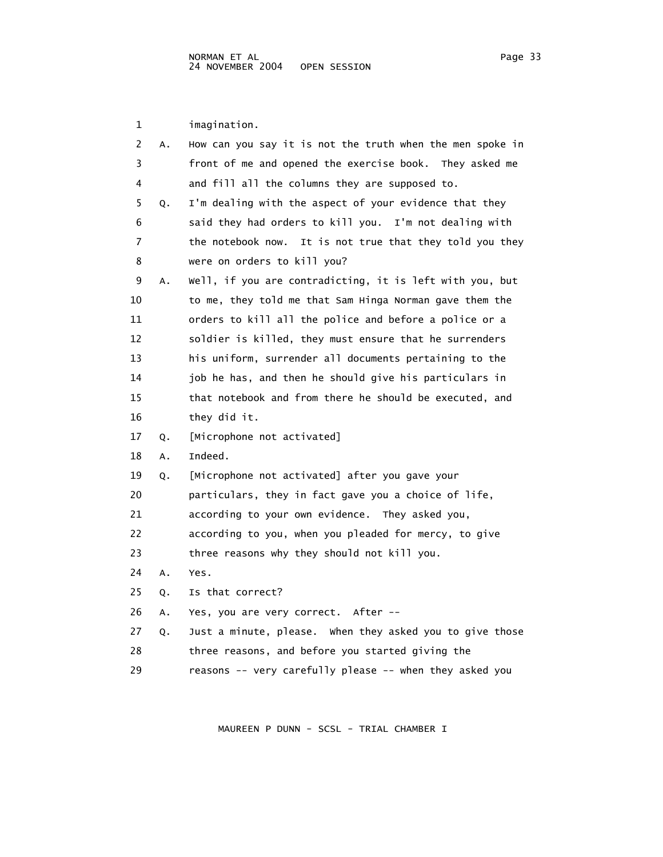1 imagination. 2 A. How can you say it is not the truth when the men spoke in 3 front of me and opened the exercise book. They asked me 4 and fill all the columns they are supposed to. 5 Q. I'm dealing with the aspect of your evidence that they 6 said they had orders to kill you. I'm not dealing with 7 the notebook now. It is not true that they told you they 8 were on orders to kill you? 9 A. Well, if you are contradicting, it is left with you, but 10 to me, they told me that Sam Hinga Norman gave them the 11 orders to kill all the police and before a police or a 12 soldier is killed, they must ensure that he surrenders 13 his uniform, surrender all documents pertaining to the 14 job he has, and then he should give his particulars in 15 that notebook and from there he should be executed, and 16 they did it. 17 Q. [Microphone not activated] 18 A. Indeed. 19 Q. [Microphone not activated] after you gave your 20 particulars, they in fact gave you a choice of life, 21 according to your own evidence. They asked you, 22 according to you, when you pleaded for mercy, to give 23 three reasons why they should not kill you. 24 A. Yes. 25 Q. Is that correct? 26 A. Yes, you are very correct. After -- 27 Q. Just a minute, please. When they asked you to give those 28 three reasons, and before you started giving the 29 reasons -- very carefully please -- when they asked you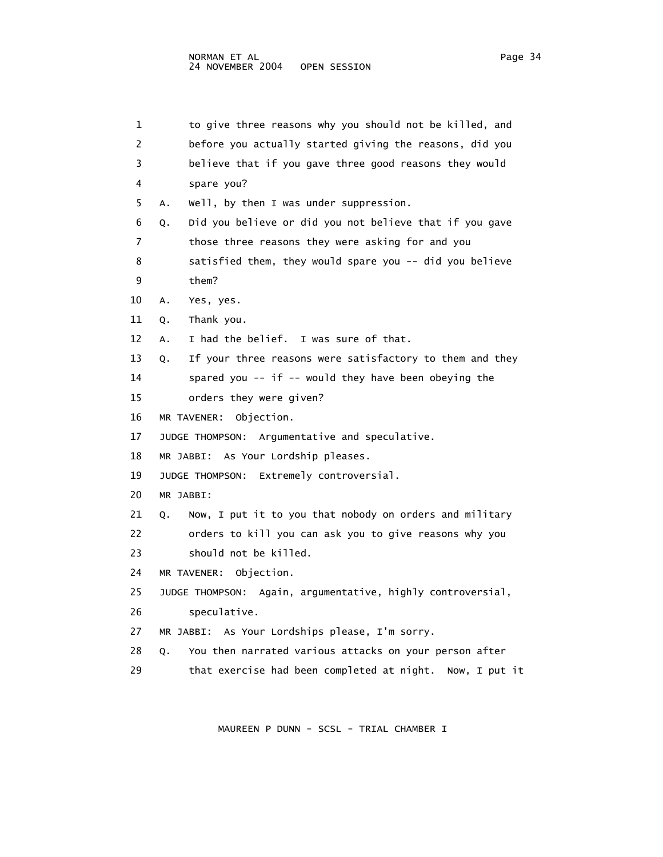| 1  | to give three reasons why you should not be killed, and        |
|----|----------------------------------------------------------------|
| 2  | before you actually started giving the reasons, did you        |
| 3  | believe that if you gave three good reasons they would         |
| 4  | spare you?                                                     |
| 5  | Well, by then I was under suppression.<br>A.                   |
| 6  | Did you believe or did you not believe that if you gave<br>Q.  |
| 7  | those three reasons they were asking for and you               |
| 8  | satisfied them, they would spare you -- did you believe        |
| 9  | them?                                                          |
| 10 | Yes, yes.<br>Α.                                                |
| 11 | Thank you.<br>Q.                                               |
| 12 | I had the belief. I was sure of that.<br>А.                    |
| 13 | If your three reasons were satisfactory to them and they<br>Q. |
| 14 | spared you -- if -- would they have been obeying the           |
| 15 | orders they were given?                                        |
| 16 | Objection.<br>MR TAVENER:                                      |
| 17 | JUDGE THOMPSON: Argumentative and speculative.                 |
| 18 | MR JABBI: As Your Lordship pleases.                            |
| 19 | JUDGE THOMPSON: Extremely controversial.                       |
| 20 | MR JABBI:                                                      |
| 21 | Now, I put it to you that nobody on orders and military<br>Q.  |
| 22 | orders to kill you can ask you to give reasons why you         |
| 23 | should not be killed.                                          |
| 24 | Objection.<br>MR TAVENER:                                      |
| 25 | JUDGE THOMPSON: Again, argumentative, highly controversial,    |
| 26 | speculative.                                                   |
| 27 | MR JABBI: As Your Lordships please, I'm sorry.                 |
| 28 | You then narrated various attacks on your person after<br>Q.   |
| 29 | that exercise had been completed at night.<br>Now, I put it    |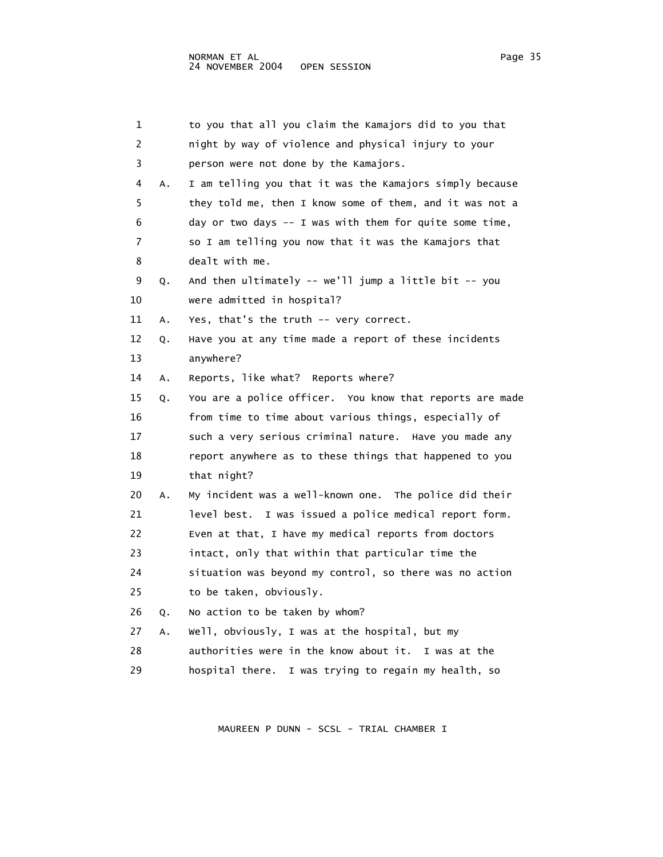| 1  |    | to you that all you claim the Kamajors did to you that    |
|----|----|-----------------------------------------------------------|
| 2  |    | night by way of violence and physical injury to your      |
| 3  |    | person were not done by the Kamajors.                     |
| 4  | Α. | I am telling you that it was the Kamajors simply because  |
| 5  |    | they told me, then I know some of them, and it was not a  |
| 6  |    | day or two days -- I was with them for quite some time,   |
| 7  |    | so I am telling you now that it was the Kamajors that     |
| 8  |    | dealt with me.                                            |
| 9  | Q. | And then ultimately -- we'll jump a little bit -- you     |
| 10 |    | were admitted in hospital?                                |
| 11 | Α. | Yes, that's the truth -- very correct.                    |
| 12 | Q. | Have you at any time made a report of these incidents     |
| 13 |    | anywhere?                                                 |
| 14 | А. | Reports, like what? Reports where?                        |
| 15 | Q. | You are a police officer. You know that reports are made  |
| 16 |    | from time to time about various things, especially of     |
| 17 |    | such a very serious criminal nature. Have you made any    |
| 18 |    | report anywhere as to these things that happened to you   |
| 19 |    | that night?                                               |
| 20 | Α. | My incident was a well-known one. The police did their    |
| 21 |    | I was issued a police medical report form.<br>level best. |
| 22 |    | Even at that, I have my medical reports from doctors      |
| 23 |    | intact, only that within that particular time the         |
| 24 |    | situation was beyond my control, so there was no action   |
| 25 |    | to be taken, obviously.                                   |
| 26 | Q. | No action to be taken by whom?                            |
| 27 | Α. | Well, obviously, I was at the hospital, but my            |
| 28 |    | authorities were in the know about it.<br>I was at the    |
| 29 |    | hospital there. I was trying to regain my health, so      |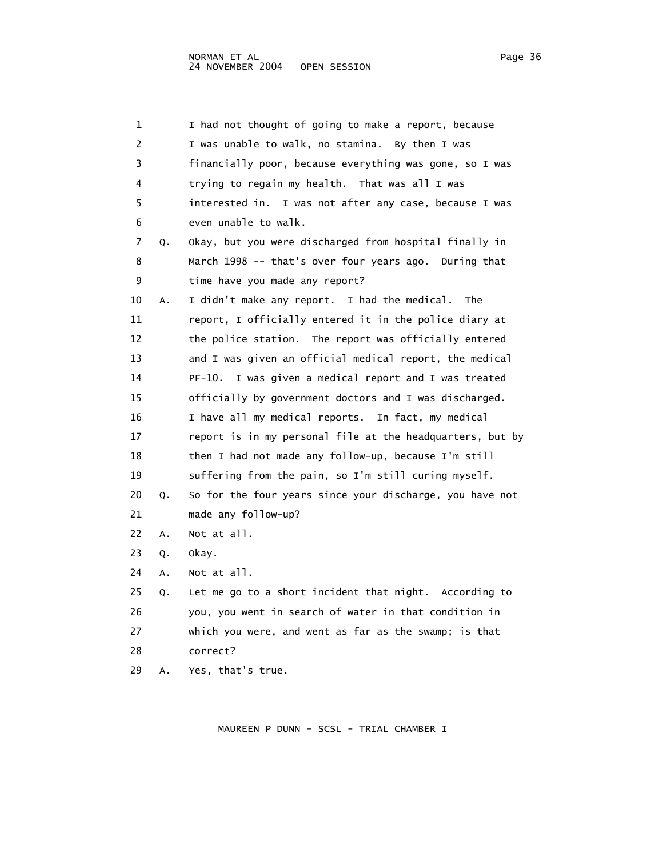1 I had not thought of going to make a report, because 2 I was unable to walk, no stamina. By then I was 3 financially poor, because everything was gone, so I was 4 trying to regain my health. That was all I was 5 interested in. I was not after any case, because I was 6 even unable to walk. 7 Q. Okay, but you were discharged from hospital finally in 8 March 1998 -- that's over four years ago. During that 9 time have you made any report? 10 A. I didn't make any report. I had the medical. The 11 report, I officially entered it in the police diary at 12 the police station. The report was officially entered 13 and I was given an official medical report, the medical 14 PF-10. I was given a medical report and I was treated 15 officially by government doctors and I was discharged. 16 I have all my medical reports. In fact, my medical 17 report is in my personal file at the headquarters, but by 18 then I had not made any follow-up, because I'm still 19 suffering from the pain, so I'm still curing myself. 20 Q. So for the four years since your discharge, you have not 21 made any follow-up? 22 A. Not at all. 23 Q. Okay. 24 A. Not at all. 25 Q. Let me go to a short incident that night. According to 26 you, you went in search of water in that condition in 27 which you were, and went as far as the swamp; is that 28 correct?

29 A. Yes, that's true.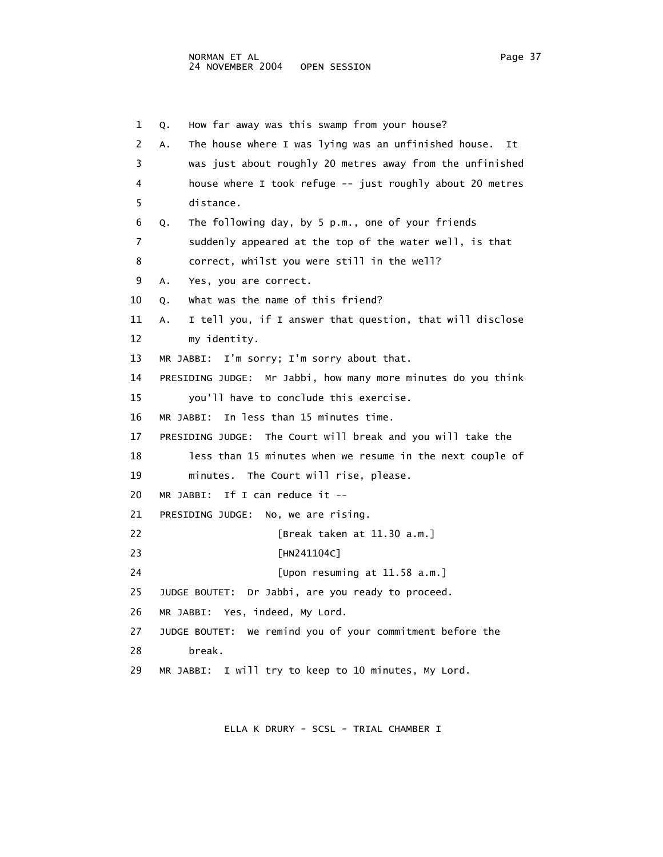1 Q. How far away was this swamp from your house? 2 A. The house where I was lying was an unfinished house. It 3 was just about roughly 20 metres away from the unfinished 4 house where I took refuge -- just roughly about 20 metres 5 distance. 6 Q. The following day, by 5 p.m., one of your friends 7 suddenly appeared at the top of the water well, is that 8 correct, whilst you were still in the well? 9 A. Yes, you are correct. 10 0. What was the name of this friend? 11 A. I tell you, if I answer that question, that will disclose 12 my identity. 13 MR JABBI: I'm sorry; I'm sorry about that. 14 PRESIDING JUDGE: Mr Jabbi, how many more minutes do you think 15 you'll have to conclude this exercise. 16 MR JABBI: In less than 15 minutes time. 17 PRESIDING JUDGE: The Court will break and you will take the 18 less than 15 minutes when we resume in the next couple of 19 minutes. The Court will rise, please. 20 MR JABBI: If I can reduce it -- 21 PRESIDING JUDGE: No, we are rising. 22 [Break taken at 11.30 a.m.] 23 [HN241104C] 24 [Upon resuming at 11.58 a.m.] 25 JUDGE BOUTET: Dr Jabbi, are you ready to proceed. 26 MR JABBI: Yes, indeed, My Lord. 27 JUDGE BOUTET: We remind you of your commitment before the 28 break. 29 MR JABBI: I will try to keep to 10 minutes, My Lord.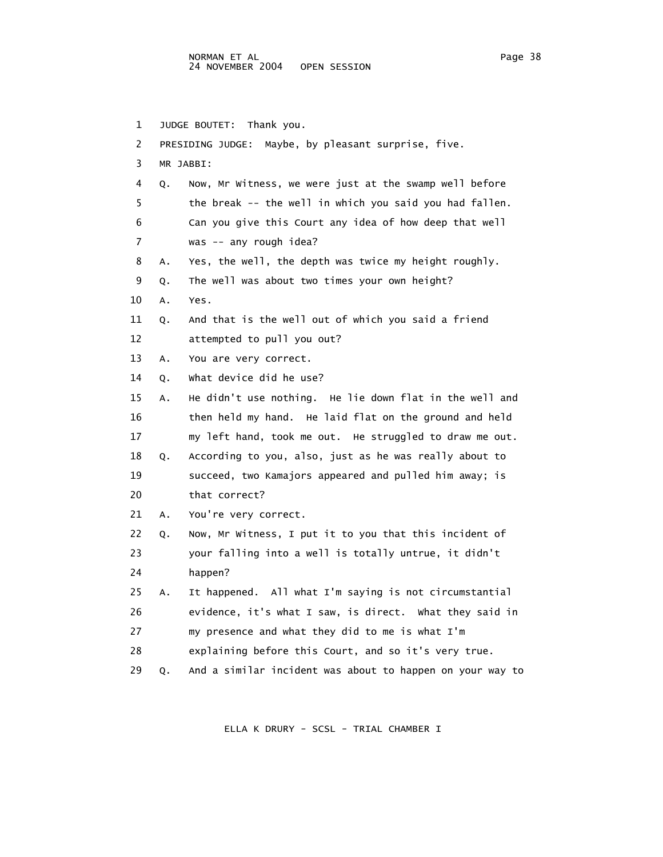| $\mathbf 1$ |    | JUDGE BOUTET: Thank you.                                  |  |  |  |  |  |
|-------------|----|-----------------------------------------------------------|--|--|--|--|--|
| 2           |    | PRESIDING JUDGE:<br>Maybe, by pleasant surprise, five.    |  |  |  |  |  |
| 3           |    | MR JABBI:                                                 |  |  |  |  |  |
| 4           | Q. | Now, Mr Witness, we were just at the swamp well before    |  |  |  |  |  |
| 5           |    | the break -- the well in which you said you had fallen.   |  |  |  |  |  |
| 6           |    | Can you give this Court any idea of how deep that well    |  |  |  |  |  |
| 7           |    | was -- any rough idea?                                    |  |  |  |  |  |
| 8           | Α. | Yes, the well, the depth was twice my height roughly.     |  |  |  |  |  |
| 9           | Q. | The well was about two times your own height?             |  |  |  |  |  |
| 10          | Α. | Yes.                                                      |  |  |  |  |  |
| 11          | Q. | And that is the well out of which you said a friend       |  |  |  |  |  |
| 12          |    | attempted to pull you out?                                |  |  |  |  |  |
| 13          | Α. | You are very correct.                                     |  |  |  |  |  |
| 14          | Q. | What device did he use?                                   |  |  |  |  |  |
| 15          | А. | He didn't use nothing. He lie down flat in the well and   |  |  |  |  |  |
| 16          |    | then held my hand. He laid flat on the ground and held    |  |  |  |  |  |
| 17          |    | my left hand, took me out. He struggled to draw me out.   |  |  |  |  |  |
| 18          | Q. | According to you, also, just as he was really about to    |  |  |  |  |  |
| 19          |    | succeed, two Kamajors appeared and pulled him away; is    |  |  |  |  |  |
| 20          |    | that correct?                                             |  |  |  |  |  |
| 21          | А. | You're very correct.                                      |  |  |  |  |  |
| 22          | Q. | Now, Mr Witness, I put it to you that this incident of    |  |  |  |  |  |
| 23          |    | your falling into a well is totally untrue, it didn't     |  |  |  |  |  |
| 24          |    | happen?                                                   |  |  |  |  |  |
| 25          | А. | It happened. All what I'm saying is not circumstantial    |  |  |  |  |  |
| 26          |    | evidence, it's what I saw, is direct. What they said in   |  |  |  |  |  |
| 27          |    | my presence and what they did to me is what I'm           |  |  |  |  |  |
| 28          |    | explaining before this Court, and so it's very true.      |  |  |  |  |  |
| 29          | Q. | And a similar incident was about to happen on your way to |  |  |  |  |  |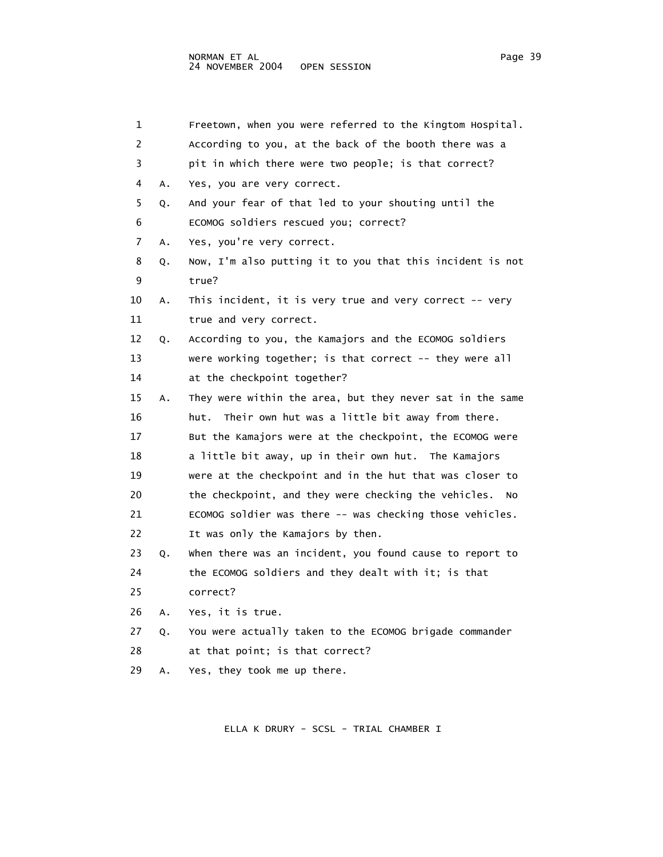1 Freetown, when you were referred to the Kingtom Hospital. 2 According to you, at the back of the booth there was a 3 pit in which there were two people; is that correct? 4 A. Yes, you are very correct. 5 Q. And your fear of that led to your shouting until the 6 ECOMOG soldiers rescued you; correct? 7 A. Yes, you're very correct. 8 Q. Now, I'm also putting it to you that this incident is not 9 true? 10 A. This incident, it is very true and very correct -- very 11 true and very correct. 12 Q. According to you, the Kamajors and the ECOMOG soldiers 13 were working together; is that correct -- they were all 14 at the checkpoint together? 15 A. They were within the area, but they never sat in the same 16 hut. Their own hut was a little bit away from there. 17 But the Kamajors were at the checkpoint, the ECOMOG were 18 a little bit away, up in their own hut. The Kamajors 19 were at the checkpoint and in the hut that was closer to 20 the checkpoint, and they were checking the vehicles. No 21 ECOMOG soldier was there -- was checking those vehicles. 22 It was only the Kamajors by then. 23 Q. When there was an incident, you found cause to report to 24 the ECOMOG soldiers and they dealt with it; is that 25 correct? 26 A. Yes, it is true. 27 Q. You were actually taken to the ECOMOG brigade commander 28 at that point; is that correct? 29 A. Yes, they took me up there.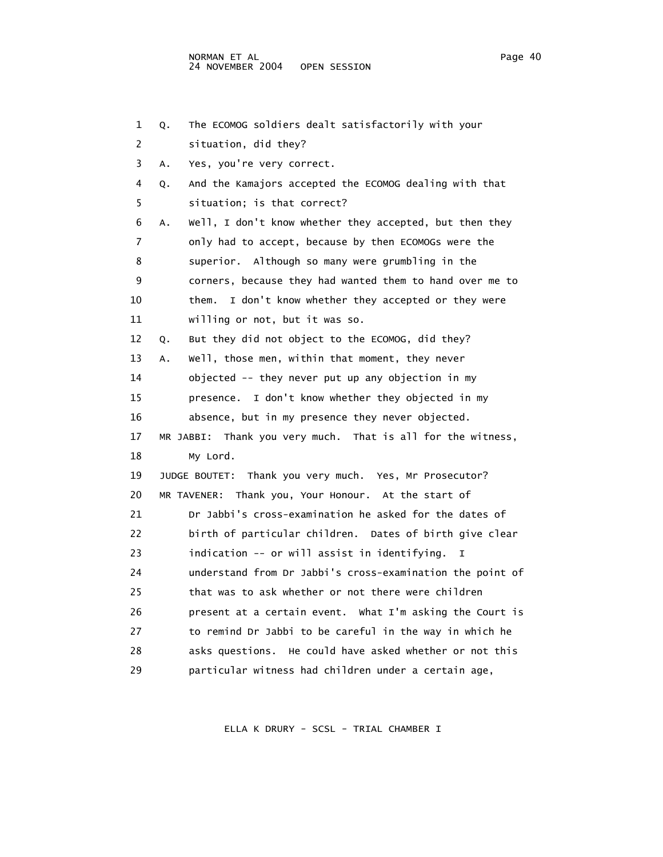1 Q. The ECOMOG soldiers dealt satisfactorily with your 2 situation, did they? 3 A. Yes, you're very correct. 4 Q. And the Kamajors accepted the ECOMOG dealing with that 5 situation; is that correct? 6 A. Well, I don't know whether they accepted, but then they 7 only had to accept, because by then ECOMOGs were the 8 superior. Although so many were grumbling in the 9 corners, because they had wanted them to hand over me to 10 them. I don't know whether they accepted or they were 11 willing or not, but it was so. 12 Q. But they did not object to the ECOMOG, did they? 13 A. Well, those men, within that moment, they never 14 objected -- they never put up any objection in my 15 presence. I don't know whether they objected in my 16 absence, but in my presence they never objected. 17 MR JABBI: Thank you very much. That is all for the witness, 18 My Lord. 19 JUDGE BOUTET: Thank you very much. Yes, Mr Prosecutor? 20 MR TAVENER: Thank you, Your Honour. At the start of 21 Dr Jabbi's cross-examination he asked for the dates of 22 birth of particular children. Dates of birth give clear 23 indication -- or will assist in identifying. I 24 understand from Dr Jabbi's cross-examination the point of 25 that was to ask whether or not there were children 26 present at a certain event. What I'm asking the Court is 27 to remind Dr Jabbi to be careful in the way in which he 28 asks questions. He could have asked whether or not this 29 particular witness had children under a certain age,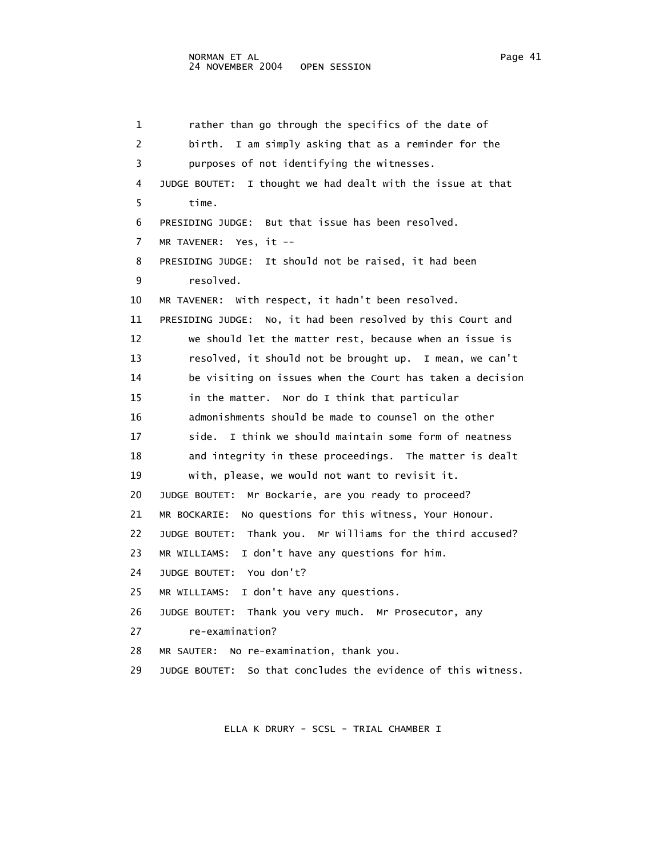```
 1 rather than go through the specifics of the date of 
 2 birth. I am simply asking that as a reminder for the 
 3 purposes of not identifying the witnesses. 
 4 JUDGE BOUTET: I thought we had dealt with the issue at that 
  5 time. 
 6 PRESIDING JUDGE: But that issue has been resolved. 
 7 MR TAVENER: Yes, it -- 
 8 PRESIDING JUDGE: It should not be raised, it had been 
 9 resolved. 
 10 MR TAVENER: With respect, it hadn't been resolved. 
 11 PRESIDING JUDGE: No, it had been resolved by this Court and 
 12 we should let the matter rest, because when an issue is 
 13 resolved, it should not be brought up. I mean, we can't 
 14 be visiting on issues when the Court has taken a decision 
 15 in the matter. Nor do I think that particular 
 16 admonishments should be made to counsel on the other 
17 side. I think we should maintain some form of neatness
 18 and integrity in these proceedings. The matter is dealt 
 19 with, please, we would not want to revisit it. 
 20 JUDGE BOUTET: Mr Bockarie, are you ready to proceed? 
 21 MR BOCKARIE: No questions for this witness, Your Honour. 
 22 JUDGE BOUTET: Thank you. Mr Williams for the third accused? 
 23 MR WILLIAMS: I don't have any questions for him. 
 24 JUDGE BOUTET: You don't? 
 25 MR WILLIAMS: I don't have any questions. 
 26 JUDGE BOUTET: Thank you very much. Mr Prosecutor, any 
 27 re-examination? 
 28 MR SAUTER: No re-examination, thank you. 
 29 JUDGE BOUTET: So that concludes the evidence of this witness.
```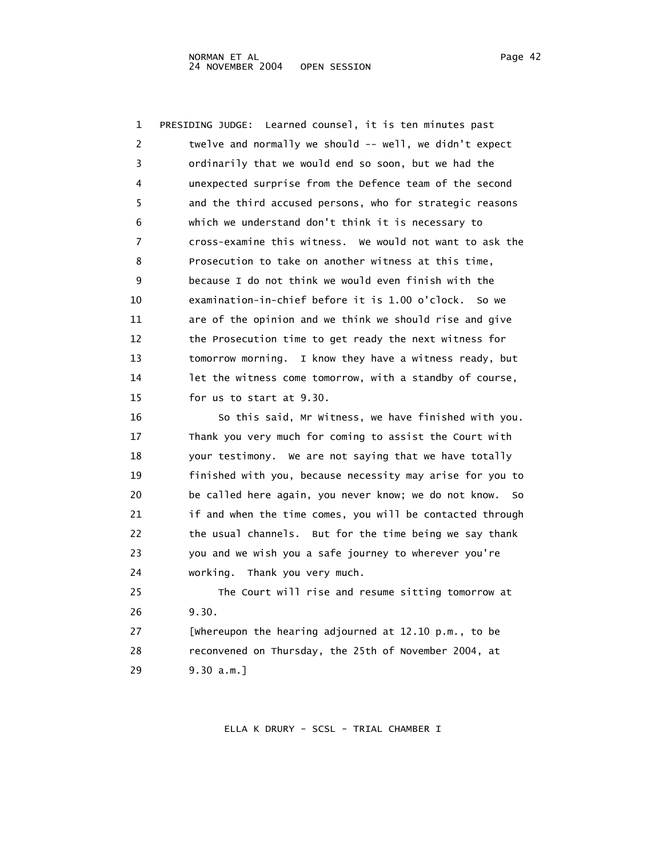| 1  | PRESIDING JUDGE: Learned counsel, it is ten minutes past     |
|----|--------------------------------------------------------------|
| 2  | twelve and normally we should -- well, we didn't expect      |
| 3  | ordinarily that we would end so soon, but we had the         |
| 4  | unexpected surprise from the Defence team of the second      |
| 5  | and the third accused persons, who for strategic reasons     |
| 6  | which we understand don't think it is necessary to           |
| 7  | cross-examine this witness. We would not want to ask the     |
| 8  | Prosecution to take on another witness at this time,         |
| 9  | because I do not think we would even finish with the         |
| 10 | examination-in-chief before it is 1.00 o'clock. So we        |
| 11 | are of the opinion and we think we should rise and give      |
| 12 | the Prosecution time to get ready the next witness for       |
| 13 | tomorrow morning. I know they have a witness ready, but      |
| 14 | let the witness come tomorrow, with a standby of course,     |
| 15 | for us to start at 9.30.                                     |
| 16 | So this said, Mr Witness, we have finished with you.         |
| 17 | Thank you very much for coming to assist the Court with      |
| 18 | your testimony. We are not saying that we have totally       |
| 19 | finished with you, because necessity may arise for you to    |
| 20 | be called here again, you never know; we do not know.<br>So. |
| 21 | if and when the time comes, you will be contacted through    |
| 22 | the usual channels. But for the time being we say thank      |
| 23 | you and we wish you a safe journey to wherever you're        |

24 working. Thank you very much.

 25 The Court will rise and resume sitting tomorrow at 26 9.30. 27 [Whereupon the hearing adjourned at 12.10 p.m., to be 28 reconvened on Thursday, the 25th of November 2004, at 29 9.30 a.m.]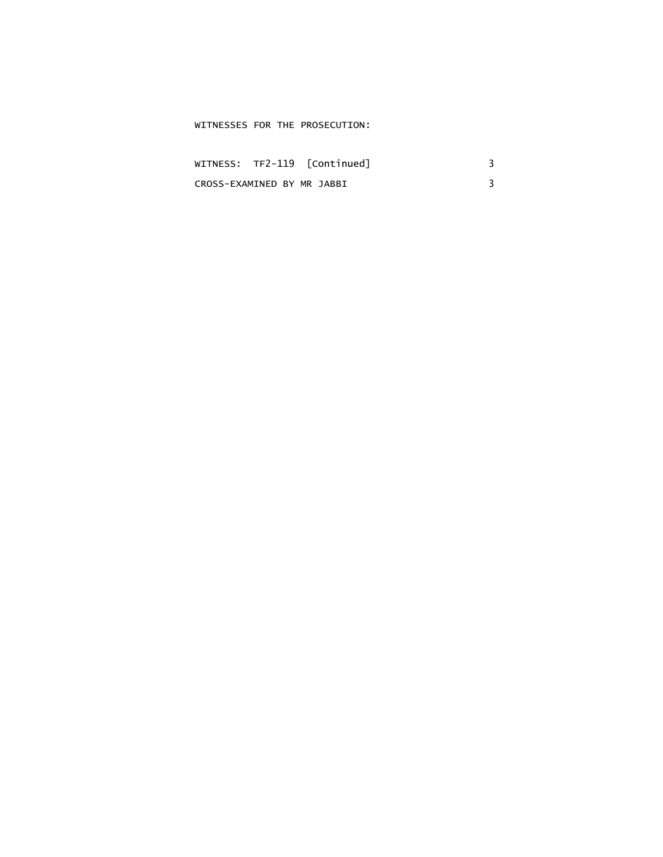# WITNESSES FOR THE PROSECUTION:

|                            | WITNESS: TF2-119 [Continued] |  |
|----------------------------|------------------------------|--|
| CROSS-EXAMINED BY MR JABBI |                              |  |